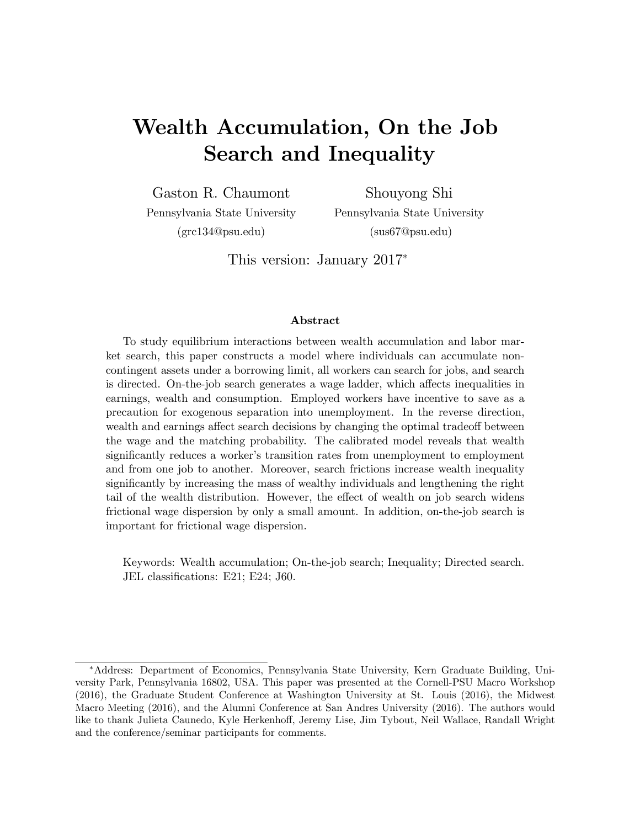# Wealth Accumulation, On the Job Search and Inequality

Gaston R. Chaumont Pennsylvania State University

Shouyong Shi Pennsylvania State University (sus67@psu.edu)

(grc134@psu.edu)

This version: January 2017<sup>∗</sup>

#### Abstract

To study equilibrium interactions between wealth accumulation and labor market search, this paper constructs a model where individuals can accumulate noncontingent assets under a borrowing limit, all workers can search for jobs, and search is directed. On-the-job search generates a wage ladder, which affects inequalities in earnings, wealth and consumption. Employed workers have incentive to save as a precaution for exogenous separation into unemployment. In the reverse direction, wealth and earnings affect search decisions by changing the optimal tradeoff between the wage and the matching probability. The calibrated model reveals that wealth significantly reduces a worker's transition rates from unemployment to employment and from one job to another. Moreover, search frictions increase wealth inequality significantly by increasing the mass of wealthy individuals and lengthening the right tail of the wealth distribution. However, the effect of wealth on job search widens frictional wage dispersion by only a small amount. In addition, on-the-job search is important for frictional wage dispersion.

Keywords: Wealth accumulation; On-the-job search; Inequality; Directed search. JEL classifications: E21; E24; J60.

<sup>∗</sup>Address: Department of Economics, Pennsylvania State University, Kern Graduate Building, University Park, Pennsylvania 16802, USA. This paper was presented at the Cornell-PSU Macro Workshop (2016), the Graduate Student Conference at Washington University at St. Louis (2016), the Midwest Macro Meeting (2016), and the Alumni Conference at San Andres University (2016). The authors would like to thank Julieta Caunedo, Kyle Herkenhoff, Jeremy Lise, Jim Tybout, Neil Wallace, Randall Wright and the conference/seminar participants for comments.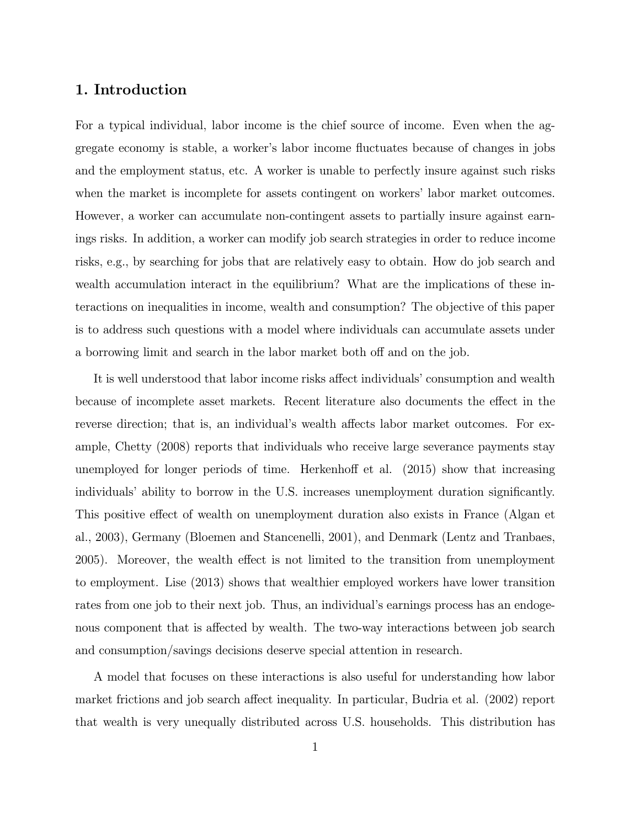### 1. Introduction

For a typical individual, labor income is the chief source of income. Even when the aggregate economy is stable, a worker's labor income fluctuates because of changes in jobs and the employment status, etc. A worker is unable to perfectly insure against such risks when the market is incomplete for assets contingent on workers' labor market outcomes. However, a worker can accumulate non-contingent assets to partially insure against earnings risks. In addition, a worker can modify job search strategies in order to reduce income risks, e.g., by searching for jobs that are relatively easy to obtain. How do job search and wealth accumulation interact in the equilibrium? What are the implications of these interactions on inequalities in income, wealth and consumption? The objective of this paper is to address such questions with a model where individuals can accumulate assets under a borrowing limit and search in the labor market both off and on the job.

It is well understood that labor income risks affect individuals' consumption and wealth because of incomplete asset markets. Recent literature also documents the effect in the reverse direction; that is, an individual's wealth affects labor market outcomes. For example, Chetty (2008) reports that individuals who receive large severance payments stay unemployed for longer periods of time. Herkenhoff et al. (2015) show that increasing individuals' ability to borrow in the U.S. increases unemployment duration significantly. This positive effect of wealth on unemployment duration also exists in France (Algan et al., 2003), Germany (Bloemen and Stancenelli, 2001), and Denmark (Lentz and Tranbaes, 2005). Moreover, the wealth effect is not limited to the transition from unemployment to employment. Lise (2013) shows that wealthier employed workers have lower transition rates from one job to their next job. Thus, an individual's earnings process has an endogenous component that is affected by wealth. The two-way interactions between job search and consumption/savings decisions deserve special attention in research.

A model that focuses on these interactions is also useful for understanding how labor market frictions and job search affect inequality. In particular, Budria et al. (2002) report that wealth is very unequally distributed across U.S. households. This distribution has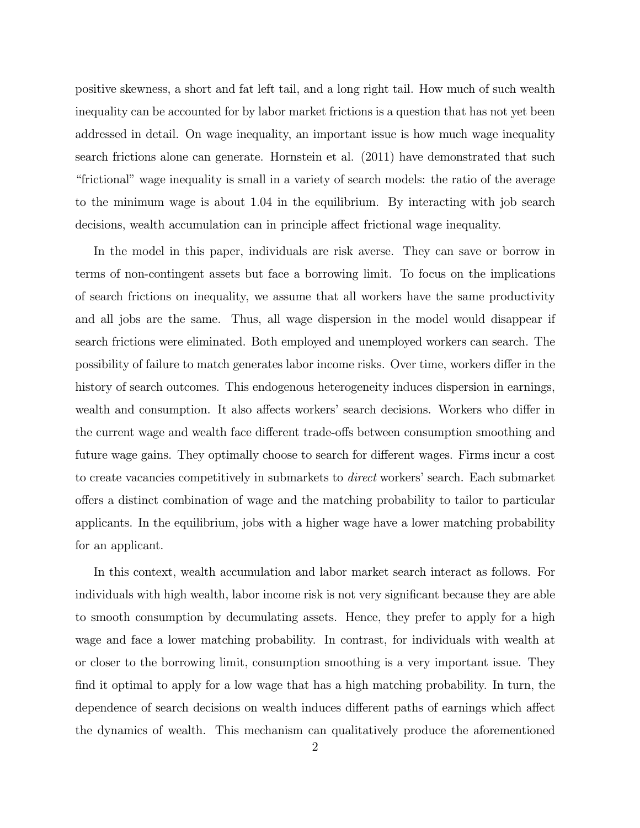positive skewness, a short and fat left tail, and a long right tail. How much of such wealth inequality can be accounted for by labor market frictions is a question that has not yet been addressed in detail. On wage inequality, an important issue is how much wage inequality search frictions alone can generate. Hornstein et al. (2011) have demonstrated that such "frictional" wage inequality is small in a variety of search models: the ratio of the average to the minimum wage is about 104 in the equilibrium. By interacting with job search decisions, wealth accumulation can in principle affect frictional wage inequality.

In the model in this paper, individuals are risk averse. They can save or borrow in terms of non-contingent assets but face a borrowing limit. To focus on the implications of search frictions on inequality, we assume that all workers have the same productivity and all jobs are the same. Thus, all wage dispersion in the model would disappear if search frictions were eliminated. Both employed and unemployed workers can search. The possibility of failure to match generates labor income risks. Over time, workers differ in the history of search outcomes. This endogenous heterogeneity induces dispersion in earnings, wealth and consumption. It also affects workers' search decisions. Workers who differ in the current wage and wealth face different trade-offs between consumption smoothing and future wage gains. They optimally choose to search for different wages. Firms incur a cost to create vacancies competitively in submarkets to direct workers' search. Each submarket offers a distinct combination of wage and the matching probability to tailor to particular applicants. In the equilibrium, jobs with a higher wage have a lower matching probability for an applicant.

In this context, wealth accumulation and labor market search interact as follows. For individuals with high wealth, labor income risk is not very significant because they are able to smooth consumption by decumulating assets. Hence, they prefer to apply for a high wage and face a lower matching probability. In contrast, for individuals with wealth at or closer to the borrowing limit, consumption smoothing is a very important issue. They find it optimal to apply for a low wage that has a high matching probability. In turn, the dependence of search decisions on wealth induces different paths of earnings which affect the dynamics of wealth. This mechanism can qualitatively produce the aforementioned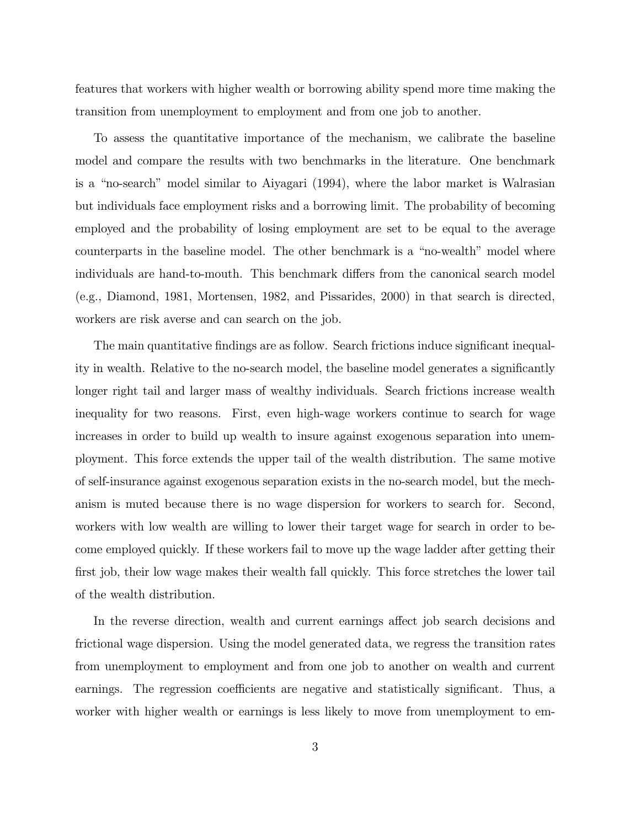features that workers with higher wealth or borrowing ability spend more time making the transition from unemployment to employment and from one job to another.

To assess the quantitative importance of the mechanism, we calibrate the baseline model and compare the results with two benchmarks in the literature. One benchmark is a "no-search" model similar to Aiyagari (1994), where the labor market is Walrasian but individuals face employment risks and a borrowing limit. The probability of becoming employed and the probability of losing employment are set to be equal to the average counterparts in the baseline model. The other benchmark is a "no-wealth" model where individuals are hand-to-mouth. This benchmark differs from the canonical search model (e.g., Diamond, 1981, Mortensen, 1982, and Pissarides, 2000) in that search is directed, workers are risk averse and can search on the job.

The main quantitative findings are as follow. Search frictions induce significant inequality in wealth. Relative to the no-search model, the baseline model generates a significantly longer right tail and larger mass of wealthy individuals. Search frictions increase wealth inequality for two reasons. First, even high-wage workers continue to search for wage increases in order to build up wealth to insure against exogenous separation into unemployment. This force extends the upper tail of the wealth distribution. The same motive of self-insurance against exogenous separation exists in the no-search model, but the mechanism is muted because there is no wage dispersion for workers to search for. Second, workers with low wealth are willing to lower their target wage for search in order to become employed quickly. If these workers fail to move up the wage ladder after getting their first job, their low wage makes their wealth fall quickly. This force stretches the lower tail of the wealth distribution.

In the reverse direction, wealth and current earnings affect job search decisions and frictional wage dispersion. Using the model generated data, we regress the transition rates from unemployment to employment and from one job to another on wealth and current earnings. The regression coefficients are negative and statistically significant. Thus, a worker with higher wealth or earnings is less likely to move from unemployment to em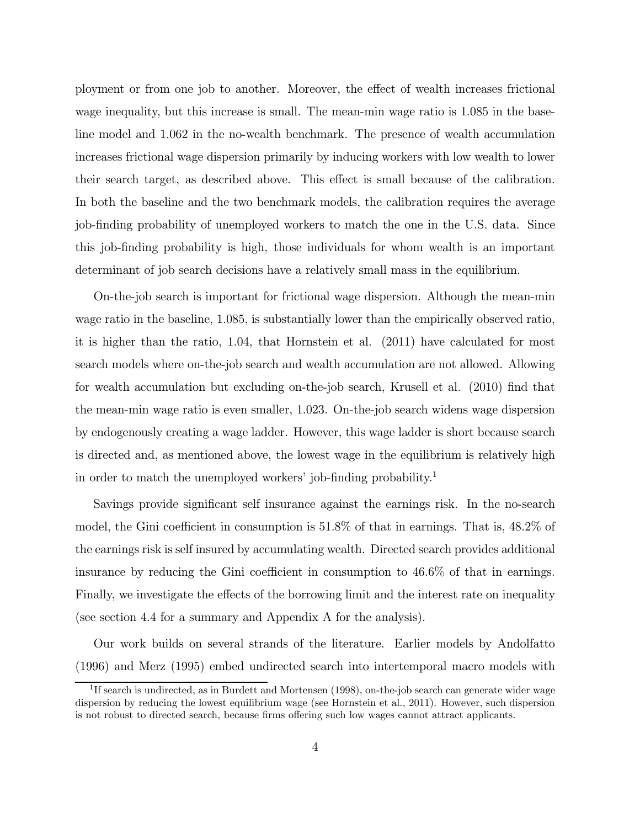ployment or from one job to another. Moreover, the effect of wealth increases frictional wage inequality, but this increase is small. The mean-min wage ratio is 1085 in the baseline model and 1062 in the no-wealth benchmark. The presence of wealth accumulation increases frictional wage dispersion primarily by inducing workers with low wealth to lower their search target, as described above. This effect is small because of the calibration. In both the baseline and the two benchmark models, the calibration requires the average job-finding probability of unemployed workers to match the one in the U.S. data. Since this job-finding probability is high, those individuals for whom wealth is an important determinant of job search decisions have a relatively small mass in the equilibrium.

On-the-job search is important for frictional wage dispersion. Although the mean-min wage ratio in the baseline, 1085, is substantially lower than the empirically observed ratio, it is higher than the ratio, 104, that Hornstein et al. (2011) have calculated for most search models where on-the-job search and wealth accumulation are not allowed. Allowing for wealth accumulation but excluding on-the-job search, Krusell et al. (2010) find that the mean-min wage ratio is even smaller, 1023. On-the-job search widens wage dispersion by endogenously creating a wage ladder. However, this wage ladder is short because search is directed and, as mentioned above, the lowest wage in the equilibrium is relatively high in order to match the unemployed workers' job-finding probability.<sup>1</sup>

Savings provide significant self insurance against the earnings risk. In the no-search model, the Gini coefficient in consumption is 518% of that in earnings. That is, 482% of the earnings risk is self insured by accumulating wealth. Directed search provides additional insurance by reducing the Gini coefficient in consumption to 466% of that in earnings. Finally, we investigate the effects of the borrowing limit and the interest rate on inequality (see section 4.4 for a summary and Appendix A for the analysis).

Our work builds on several strands of the literature. Earlier models by Andolfatto (1996) and Merz (1995) embed undirected search into intertemporal macro models with

<sup>&</sup>lt;sup>1</sup>If search is undirected, as in Burdett and Mortensen (1998), on-the-job search can generate wider wage dispersion by reducing the lowest equilibrium wage (see Hornstein et al., 2011). However, such dispersion is not robust to directed search, because firms offering such low wages cannot attract applicants.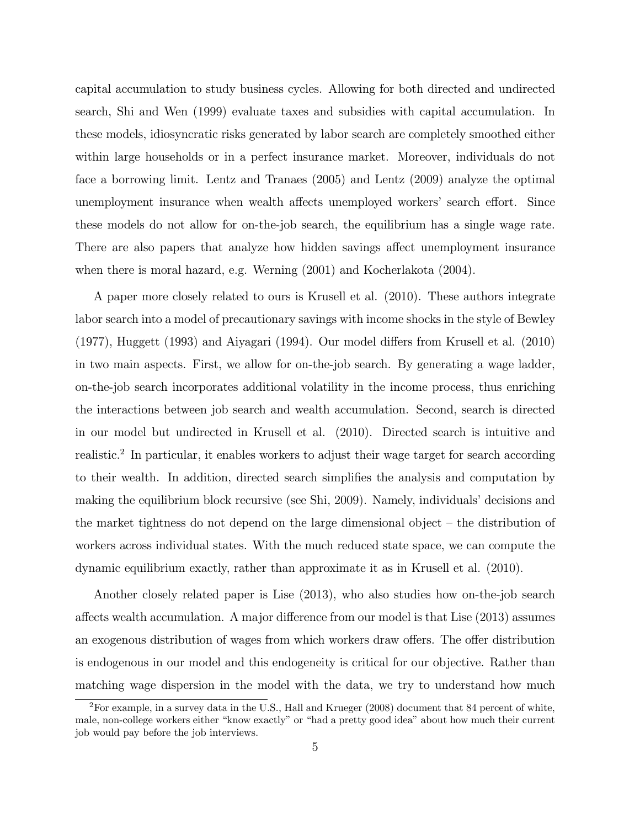capital accumulation to study business cycles. Allowing for both directed and undirected search, Shi and Wen (1999) evaluate taxes and subsidies with capital accumulation. In these models, idiosyncratic risks generated by labor search are completely smoothed either within large households or in a perfect insurance market. Moreover, individuals do not face a borrowing limit. Lentz and Tranaes (2005) and Lentz (2009) analyze the optimal unemployment insurance when wealth affects unemployed workers' search effort. Since these models do not allow for on-the-job search, the equilibrium has a single wage rate. There are also papers that analyze how hidden savings affect unemployment insurance when there is moral hazard, e.g. Werning (2001) and Kocherlakota (2004).

A paper more closely related to ours is Krusell et al. (2010). These authors integrate labor search into a model of precautionary savings with income shocks in the style of Bewley (1977), Huggett (1993) and Aiyagari (1994). Our model differs from Krusell et al. (2010) in two main aspects. First, we allow for on-the-job search. By generating a wage ladder, on-the-job search incorporates additional volatility in the income process, thus enriching the interactions between job search and wealth accumulation. Second, search is directed in our model but undirected in Krusell et al. (2010). Directed search is intuitive and realistic.<sup>2</sup> In particular, it enables workers to adjust their wage target for search according to their wealth. In addition, directed search simplifies the analysis and computation by making the equilibrium block recursive (see Shi, 2009). Namely, individuals' decisions and the market tightness do not depend on the large dimensional object — the distribution of workers across individual states. With the much reduced state space, we can compute the dynamic equilibrium exactly, rather than approximate it as in Krusell et al. (2010).

Another closely related paper is Lise (2013), who also studies how on-the-job search affects wealth accumulation. A major difference from our model is that Lise (2013) assumes an exogenous distribution of wages from which workers draw offers. The offer distribution is endogenous in our model and this endogeneity is critical for our objective. Rather than matching wage dispersion in the model with the data, we try to understand how much

<sup>2</sup>For example, in a survey data in the U.S., Hall and Krueger (2008) document that 84 percent of white, male, non-college workers either "know exactly" or "had a pretty good idea" about how much their current job would pay before the job interviews.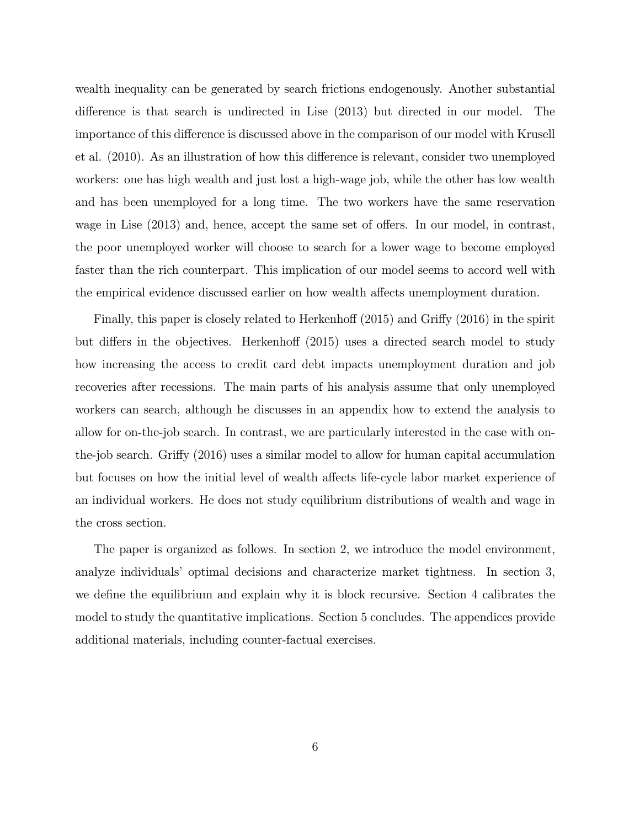wealth inequality can be generated by search frictions endogenously. Another substantial difference is that search is undirected in Lise (2013) but directed in our model. The importance of this difference is discussed above in the comparison of our model with Krusell et al. (2010). As an illustration of how this difference is relevant, consider two unemployed workers: one has high wealth and just lost a high-wage job, while the other has low wealth and has been unemployed for a long time. The two workers have the same reservation wage in Lise (2013) and, hence, accept the same set of offers. In our model, in contrast, the poor unemployed worker will choose to search for a lower wage to become employed faster than the rich counterpart. This implication of our model seems to accord well with the empirical evidence discussed earlier on how wealth affects unemployment duration.

Finally, this paper is closely related to Herkenhoff (2015) and Griffy (2016) in the spirit but differs in the objectives. Herkenhoff (2015) uses a directed search model to study how increasing the access to credit card debt impacts unemployment duration and job recoveries after recessions. The main parts of his analysis assume that only unemployed workers can search, although he discusses in an appendix how to extend the analysis to allow for on-the-job search. In contrast, we are particularly interested in the case with onthe-job search. Griffy (2016) uses a similar model to allow for human capital accumulation but focuses on how the initial level of wealth affects life-cycle labor market experience of an individual workers. He does not study equilibrium distributions of wealth and wage in the cross section.

The paper is organized as follows. In section 2, we introduce the model environment, analyze individuals' optimal decisions and characterize market tightness. In section 3, we define the equilibrium and explain why it is block recursive. Section 4 calibrates the model to study the quantitative implications. Section 5 concludes. The appendices provide additional materials, including counter-factual exercises.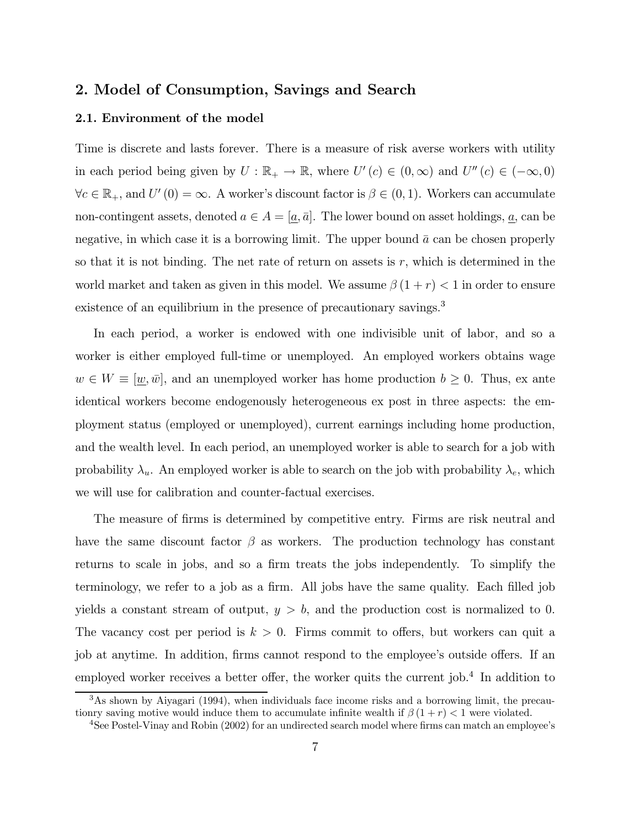### 2. Model of Consumption, Savings and Search

### 2.1. Environment of the model

Time is discrete and lasts forever. There is a measure of risk averse workers with utility in each period being given by  $U : \mathbb{R}_+ \to \mathbb{R}$ , where  $U'(c) \in (0, \infty)$  and  $U''(c) \in (-\infty, 0)$  $\forall c \in \mathbb{R}_+$ , and  $U'(0) = \infty$ . A worker's discount factor is  $\beta \in (0, 1)$ . Workers can accumulate non-contingent assets, denoted  $a \in A = [\underline{a}, \overline{a}]$ . The lower bound on asset holdings,  $\underline{a}$ , can be negative, in which case it is a borrowing limit. The upper bound  $\bar{a}$  can be chosen properly so that it is not binding. The net rate of return on assets is  $r$ , which is determined in the world market and taken as given in this model. We assume  $\beta(1 + r) < 1$  in order to ensure existence of an equilibrium in the presence of precautionary savings.<sup>3</sup>

In each period, a worker is endowed with one indivisible unit of labor, and so a worker is either employed full-time or unemployed. An employed workers obtains wage  $w \in W \equiv [\underline{w}, \overline{w}]$ , and an unemployed worker has home production  $b \geq 0$ . Thus, ex ante identical workers become endogenously heterogeneous ex post in three aspects: the employment status (employed or unemployed), current earnings including home production, and the wealth level. In each period, an unemployed worker is able to search for a job with probability  $\lambda_u$ . An employed worker is able to search on the job with probability  $\lambda_e$ , which we will use for calibration and counter-factual exercises.

The measure of firms is determined by competitive entry. Firms are risk neutral and have the same discount factor  $\beta$  as workers. The production technology has constant returns to scale in jobs, and so a firm treats the jobs independently. To simplify the terminology, we refer to a job as a firm. All jobs have the same quality. Each filled job yields a constant stream of output,  $y > b$ , and the production cost is normalized to 0. The vacancy cost per period is  $k > 0$ . Firms commit to offers, but workers can quit a job at anytime. In addition, firms cannot respond to the employee's outside offers. If an employed worker receives a better offer, the worker quits the current job.<sup>4</sup> In addition to

<sup>3</sup>As shown by Aiyagari (1994), when individuals face income risks and a borrowing limit, the precautionry saving motive would induce them to accumulate infinite wealth if  $\beta(1+r) < 1$  were violated.

<sup>4</sup>See Postel-Vinay and Robin (2002) for an undirected search model where firms can match an employee's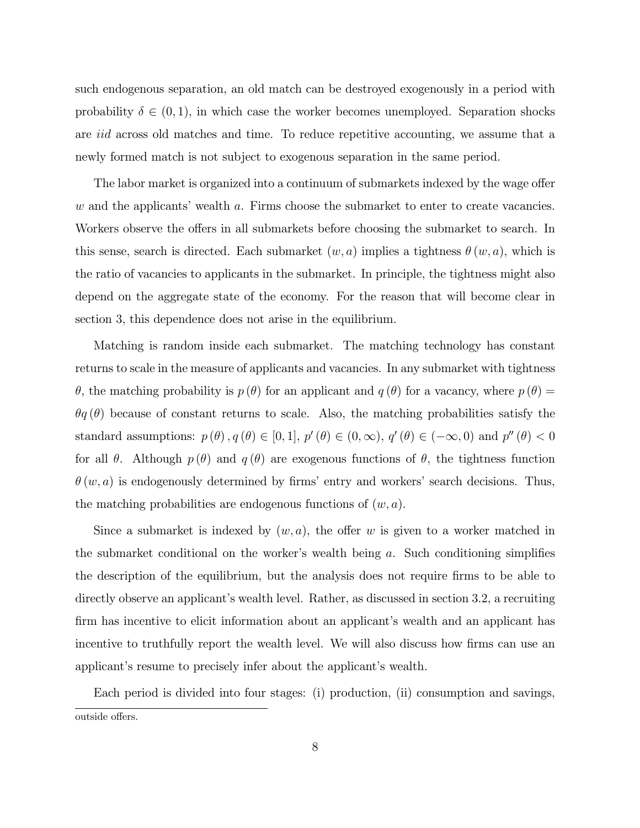such endogenous separation, an old match can be destroyed exogenously in a period with probability  $\delta \in (0,1)$ , in which case the worker becomes unemployed. Separation shocks are *iid* across old matches and time. To reduce repetitive accounting, we assume that a newly formed match is not subject to exogenous separation in the same period.

The labor market is organized into a continuum of submarkets indexed by the wage offer  $w$  and the applicants' wealth  $a$ . Firms choose the submarket to enter to create vacancies. Workers observe the offers in all submarkets before choosing the submarket to search. In this sense, search is directed. Each submarket  $(w, a)$  implies a tightness  $\theta(w, a)$ , which is the ratio of vacancies to applicants in the submarket. In principle, the tightness might also depend on the aggregate state of the economy. For the reason that will become clear in section 3, this dependence does not arise in the equilibrium.

Matching is random inside each submarket. The matching technology has constant returns to scale in the measure of applicants and vacancies. In any submarket with tightness  $\theta$ , the matching probability is  $p(\theta)$  for an applicant and  $q(\theta)$  for a vacancy, where  $p(\theta)$  $\theta q(\theta)$  because of constant returns to scale. Also, the matching probabilities satisfy the standard assumptions:  $p(\theta), q(\theta) \in [0, 1], p'(\theta) \in (0, \infty), q'(\theta) \in (-\infty, 0)$  and  $p''(\theta) < 0$ for all  $\theta$ . Although  $p(\theta)$  and  $q(\theta)$  are exogenous functions of  $\theta$ , the tightness function  $\theta(w, a)$  is endogenously determined by firms' entry and workers' search decisions. Thus, the matching probabilities are endogenous functions of  $(w, a)$ .

Since a submarket is indexed by  $(w, a)$ , the offer w is given to a worker matched in the submarket conditional on the worker's wealth being  $a$ . Such conditioning simplifies the description of the equilibrium, but the analysis does not require firms to be able to directly observe an applicant's wealth level. Rather, as discussed in section 3.2, a recruiting firm has incentive to elicit information about an applicant's wealth and an applicant has incentive to truthfully report the wealth level. We will also discuss how firms can use an applicant's resume to precisely infer about the applicant's wealth.

Each period is divided into four stages: (i) production, (ii) consumption and savings, outside offers.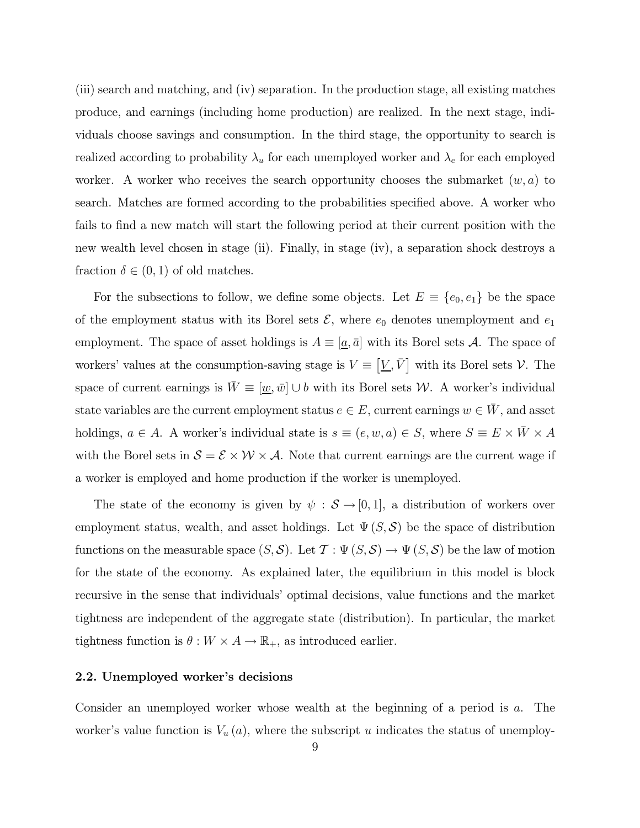(iii) search and matching, and (iv) separation. In the production stage, all existing matches produce, and earnings (including home production) are realized. In the next stage, individuals choose savings and consumption. In the third stage, the opportunity to search is realized according to probability  $\lambda_u$  for each unemployed worker and  $\lambda_e$  for each employed worker. A worker who receives the search opportunity chooses the submarket  $(w, a)$  to search. Matches are formed according to the probabilities specified above. A worker who fails to find a new match will start the following period at their current position with the new wealth level chosen in stage (ii). Finally, in stage (iv), a separation shock destroys a fraction  $\delta \in (0,1)$  of old matches.

For the subsections to follow, we define some objects. Let  $E \equiv \{e_0, e_1\}$  be the space of the employment status with its Borel sets  $\mathcal{E}$ , where  $e_0$  denotes unemployment and  $e_1$ employment. The space of asset holdings is  $A \equiv [a, \bar{a}]$  with its Borel sets A. The space of workers' values at the consumption-saving stage is  $V \equiv [\underline{V}, \overline{V}]$  with its Borel sets  $V$ . The space of current earnings is  $W \equiv [\underline{w}, \overline{w}] \cup b$  with its Borel sets W. A worker's individual state variables are the current employment status  $e \in E$ , current earnings  $w \in W$ , and asset holdings,  $a \in A$ . A worker's individual state is  $s \equiv (e, w, a) \in S$ , where  $S \equiv E \times \bar{W} \times A$ with the Borel sets in  $S = \mathcal{E} \times \mathcal{W} \times \mathcal{A}$ . Note that current earnings are the current wage if a worker is employed and home production if the worker is unemployed.

The state of the economy is given by  $\psi : \mathcal{S} \to [0,1]$ , a distribution of workers over employment status, wealth, and asset holdings. Let  $\Psi(S, \mathcal{S})$  be the space of distribution functions on the measurable space  $(S, \mathcal{S})$ . Let  $\mathcal{T} : \Psi(S, \mathcal{S}) \to \Psi(S, \mathcal{S})$  be the law of motion for the state of the economy. As explained later, the equilibrium in this model is block recursive in the sense that individuals' optimal decisions, value functions and the market tightness are independent of the aggregate state (distribution). In particular, the market tightness function is  $\theta : W \times A \to \mathbb{R}_+$ , as introduced earlier.

#### 2.2. Unemployed worker's decisions

Consider an unemployed worker whose wealth at the beginning of a period is  $a$ . The worker's value function is  $V_u(a)$ , where the subscript u indicates the status of unemploy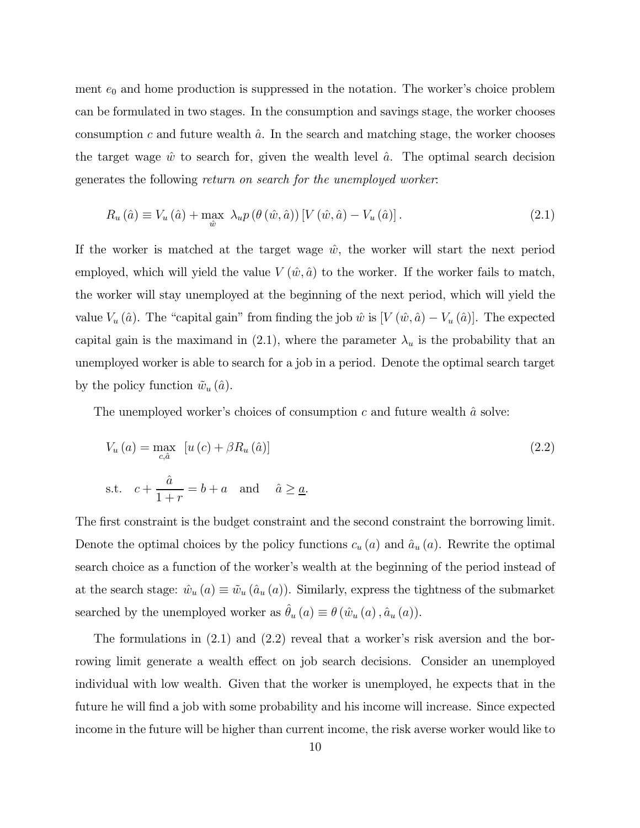ment  $e_0$  and home production is suppressed in the notation. The worker's choice problem can be formulated in two stages. In the consumption and savings stage, the worker chooses consumption c and future wealth  $\hat{a}$ . In the search and matching stage, the worker chooses the target wage  $\hat{w}$  to search for, given the wealth level  $\hat{a}$ . The optimal search decision generates the following return on search for the unemployed worker:

$$
R_u(\hat{a}) \equiv V_u(\hat{a}) + \max_{\hat{w}} \ \lambda_u p\left(\theta\left(\hat{w}, \hat{a}\right)\right) \left[V\left(\hat{w}, \hat{a}\right) - V_u(\hat{a})\right].\tag{2.1}
$$

If the worker is matched at the target wage  $\hat{w}$ , the worker will start the next period employed, which will yield the value  $V(\hat{w}, \hat{a})$  to the worker. If the worker fails to match, the worker will stay unemployed at the beginning of the next period, which will yield the value  $V_u(\hat{a})$ . The "capital gain" from finding the job  $\hat{w}$  is  $[V(\hat{w}, \hat{a}) - V_u(\hat{a})]$ . The expected capital gain is the maximand in (2.1), where the parameter  $\lambda_u$  is the probability that an unemployed worker is able to search for a job in a period. Denote the optimal search target by the policy function  $\tilde{w}_u(\hat{a})$ .

The unemployed worker's choices of consumption  $c$  and future wealth  $\hat{a}$  solve:

$$
V_u(a) = \max_{c,\hat{a}} \left[ u(c) + \beta R_u(\hat{a}) \right]
$$
  
s.t.  $c + \frac{\hat{a}}{1+r} = b + a$  and  $\hat{a} \ge \underline{a}$ . (2.2)

The first constraint is the budget constraint and the second constraint the borrowing limit. Denote the optimal choices by the policy functions  $c_u(a)$  and  $\hat{a}_u(a)$ . Rewrite the optimal search choice as a function of the worker's wealth at the beginning of the period instead of at the search stage:  $\hat{w}_u(a) \equiv \tilde{w}_u(a_u(a))$ . Similarly, express the tightness of the submarket searched by the unemployed worker as  $\hat{\theta}_u\left(a\right) \equiv \theta\left(\hat{w}_u\left(a\right), \hat{a}_u\left(a\right)\right)$ .

The formulations in (2.1) and (2.2) reveal that a worker's risk aversion and the borrowing limit generate a wealth effect on job search decisions. Consider an unemployed individual with low wealth. Given that the worker is unemployed, he expects that in the future he will find a job with some probability and his income will increase. Since expected income in the future will be higher than current income, the risk averse worker would like to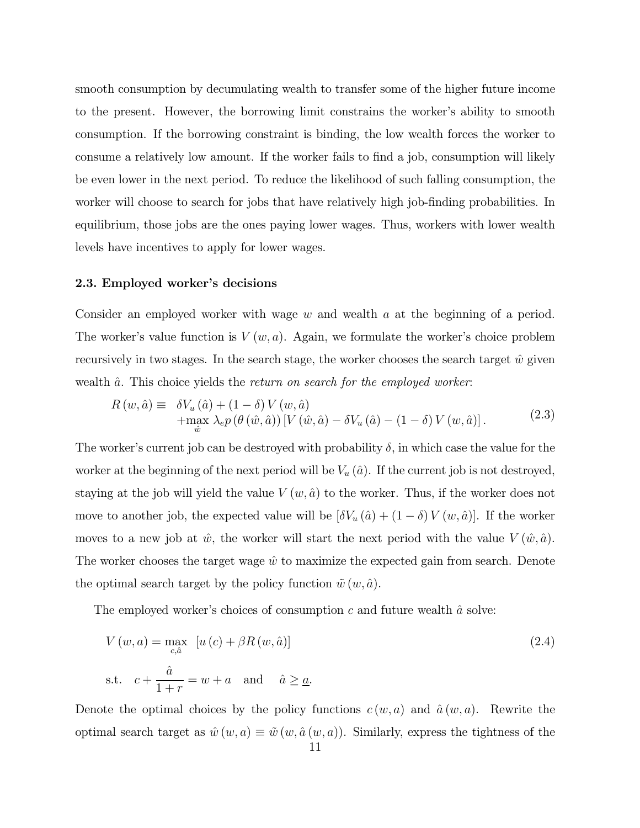smooth consumption by decumulating wealth to transfer some of the higher future income to the present. However, the borrowing limit constrains the worker's ability to smooth consumption. If the borrowing constraint is binding, the low wealth forces the worker to consume a relatively low amount. If the worker fails to find a job, consumption will likely be even lower in the next period. To reduce the likelihood of such falling consumption, the worker will choose to search for jobs that have relatively high job-finding probabilities. In equilibrium, those jobs are the ones paying lower wages. Thus, workers with lower wealth levels have incentives to apply for lower wages.

#### 2.3. Employed worker's decisions

Consider an employed worker with wage  $w$  and wealth  $a$  at the beginning of a period. The worker's value function is  $V(w, a)$ . Again, we formulate the worker's choice problem recursively in two stages. In the search stage, the worker chooses the search target  $\hat{w}$  given wealth  $\hat{a}$ . This choice yields the return on search for the employed worker:

$$
R(w, \hat{a}) \equiv \delta V_u(\hat{a}) + (1 - \delta) V(w, \hat{a}) + \max_{\hat{w}} \lambda_e p(\theta(\hat{w}, \hat{a})) \left[ V(\hat{w}, \hat{a}) - \delta V_u(\hat{a}) - (1 - \delta) V(w, \hat{a}) \right]. \tag{2.3}
$$

The worker's current job can be destroyed with probability  $\delta$ , in which case the value for the worker at the beginning of the next period will be  $V_u(\hat{a})$ . If the current job is not destroyed, staying at the job will yield the value  $V(w, \hat{a})$  to the worker. Thus, if the worker does not move to another job, the expected value will be  $[\delta V_u(\hat{a}) + (1 - \delta) V(w, \hat{a})]$ . If the worker moves to a new job at  $\hat{w}$ , the worker will start the next period with the value  $V(\hat{w}, \hat{a})$ . The worker chooses the target wage  $\hat{w}$  to maximize the expected gain from search. Denote the optimal search target by the policy function  $\tilde{w}(w, \hat{a})$ .

The employed worker's choices of consumption  $c$  and future wealth  $\hat{a}$  solve:

$$
V(w, a) = \max_{c, \hat{a}} \left[ u(c) + \beta R(w, \hat{a}) \right]
$$
  
s.t.  $c + \frac{\hat{a}}{1+r} = w + a$  and  $\hat{a} \ge \underline{a}$ . (2.4)

Denote the optimal choices by the policy functions  $c(w, a)$  and  $\hat{a}(w, a)$ . Rewrite the optimal search target as  $\hat{w}(w, a) \equiv \tilde{w}(w, \hat{a}(w, a))$ . Similarly, express the tightness of the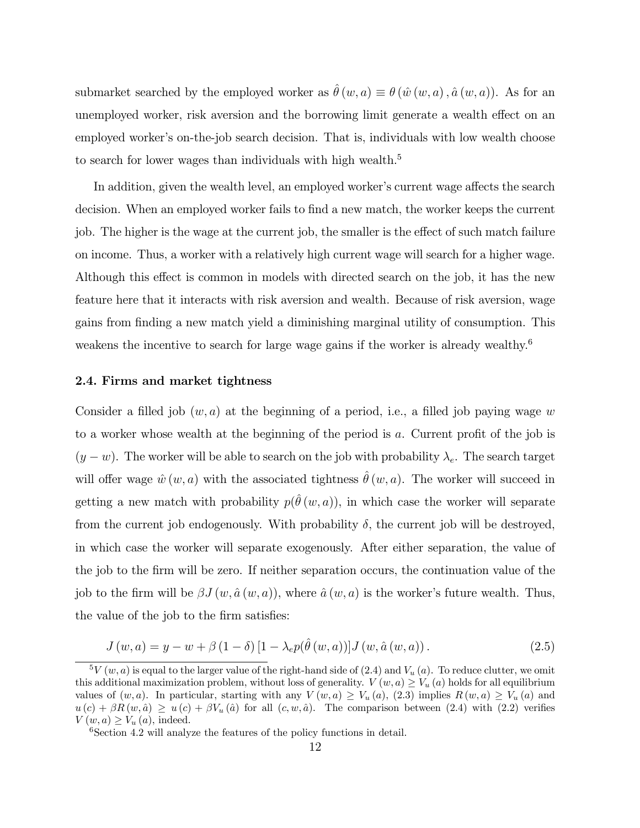submarket searched by the employed worker as  $\hat{\theta}(w, a) \equiv \theta(\hat{w}(w, a), \hat{a}(w, a))$ . As for an unemployed worker, risk aversion and the borrowing limit generate a wealth effect on an employed worker's on-the-job search decision. That is, individuals with low wealth choose to search for lower wages than individuals with high wealth.<sup>5</sup>

In addition, given the wealth level, an employed worker's current wage affects the search decision. When an employed worker fails to find a new match, the worker keeps the current job. The higher is the wage at the current job, the smaller is the effect of such match failure on income. Thus, a worker with a relatively high current wage will search for a higher wage. Although this effect is common in models with directed search on the job, it has the new feature here that it interacts with risk aversion and wealth. Because of risk aversion, wage gains from finding a new match yield a diminishing marginal utility of consumption. This weakens the incentive to search for large wage gains if the worker is already wealthy.<sup>6</sup>

#### 2.4. Firms and market tightness

Consider a filled job  $(w, a)$  at the beginning of a period, i.e., a filled job paying wage w to a worker whose wealth at the beginning of the period is  $a$ . Current profit of the job is  $(y - w)$ . The worker will be able to search on the job with probability  $\lambda_e$ . The search target will offer wage  $\hat{w}(w, a)$  with the associated tightness  $\hat{\theta}(w, a)$ . The worker will succeed in getting a new match with probability  $p(\hat{\theta}(w, a))$ , in which case the worker will separate from the current job endogenously. With probability  $\delta$ , the current job will be destroyed, in which case the worker will separate exogenously. After either separation, the value of the job to the firm will be zero. If neither separation occurs, the continuation value of the job to the firm will be  $\beta J(w, \hat{a}(w, a))$ , where  $\hat{a}(w, a)$  is the worker's future wealth. Thus, the value of the job to the firm satisfies:

$$
J(w, a) = y - w + \beta (1 - \delta) [1 - \lambda_e p(\hat{\theta}(w, a))] J(w, \hat{a}(w, a)).
$$
\n(2.5)

 ${}^5V(w,a)$  is equal to the larger value of the right-hand side of (2.4) and  $V_u(a)$ . To reduce clutter, we omit this additional maximization problem, without loss of generality.  $V(w, a) \ge V_u(a)$  holds for all equilibrium values of  $(w, a)$ . In particular, starting with any  $V(w, a) \geq V_u(a)$ , (2.3) implies  $R(w, a) \geq V_u(a)$  and  $u(c) + \beta R(w, \hat{a}) \geq u(c) + \beta V_u(\hat{a})$  for all  $(c, w, \hat{a})$ . The comparison between (2.4) with (2.2) verifies  $V(w, a) \geq V_u(a)$ , indeed.

 $6$ Section 4.2 will analyze the features of the policy functions in detail.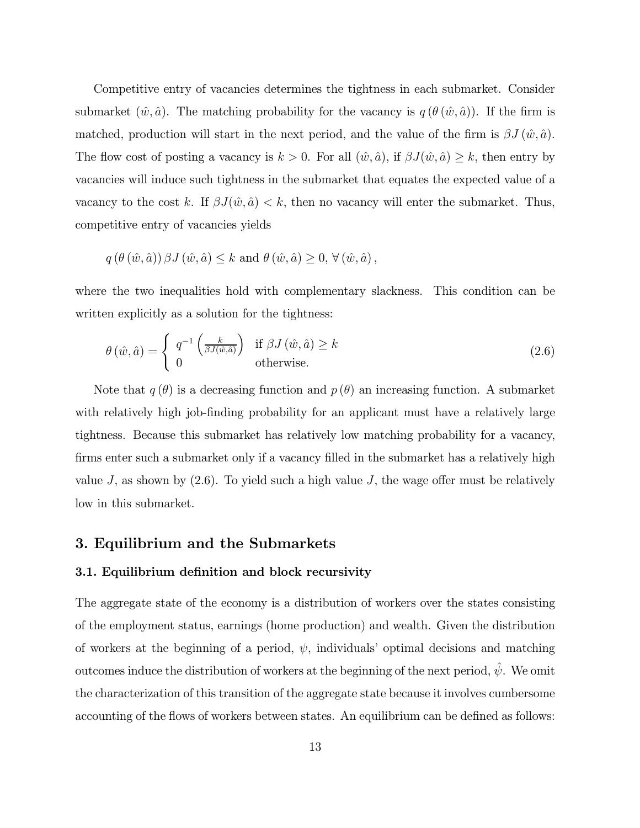Competitive entry of vacancies determines the tightness in each submarket. Consider submarket  $(\hat{w}, \hat{a})$ . The matching probability for the vacancy is  $q(\theta(\hat{w}, \hat{a}))$ . If the firm is matched, production will start in the next period, and the value of the firm is  $\beta J(\hat{w}, \hat{a})$ . The flow cost of posting a vacancy is  $k > 0$ . For all  $(\hat{w}, \hat{a})$ , if  $\beta J(\hat{w}, \hat{a}) \geq k$ , then entry by vacancies will induce such tightness in the submarket that equates the expected value of a vacancy to the cost k. If  $\beta J(\hat{w}, \hat{a}) < k$ , then no vacancy will enter the submarket. Thus, competitive entry of vacancies yields

$$
q\left(\theta\left(\hat{w},\hat{a}\right)\right)\beta J\left(\hat{w},\hat{a}\right) \leq k \text{ and } \theta\left(\hat{w},\hat{a}\right) \geq 0, \forall \left(\hat{w},\hat{a}\right),
$$

where the two inequalities hold with complementary slackness. This condition can be written explicitly as a solution for the tightness:

$$
\theta\left(\hat{w},\hat{a}\right) = \begin{cases} q^{-1}\left(\frac{k}{\beta J(\hat{w},\hat{a})}\right) & \text{if } \beta J\left(\hat{w},\hat{a}\right) \ge k\\ 0 & \text{otherwise.} \end{cases} \tag{2.6}
$$

Note that  $q(\theta)$  is a decreasing function and  $p(\theta)$  an increasing function. A submarket with relatively high job-finding probability for an applicant must have a relatively large tightness. Because this submarket has relatively low matching probability for a vacancy, firms enter such a submarket only if a vacancy filled in the submarket has a relatively high value  $J$ , as shown by  $(2.6)$ . To yield such a high value  $J$ , the wage offer must be relatively low in this submarket.

### 3. Equilibrium and the Submarkets

### 3.1. Equilibrium definition and block recursivity

The aggregate state of the economy is a distribution of workers over the states consisting of the employment status, earnings (home production) and wealth. Given the distribution of workers at the beginning of a period,  $\psi$ , individuals' optimal decisions and matching outcomes induce the distribution of workers at the beginning of the next period,  $\hat{\psi}$ . We omit the characterization of this transition of the aggregate state because it involves cumbersome accounting of the flows of workers between states. An equilibrium can be defined as follows: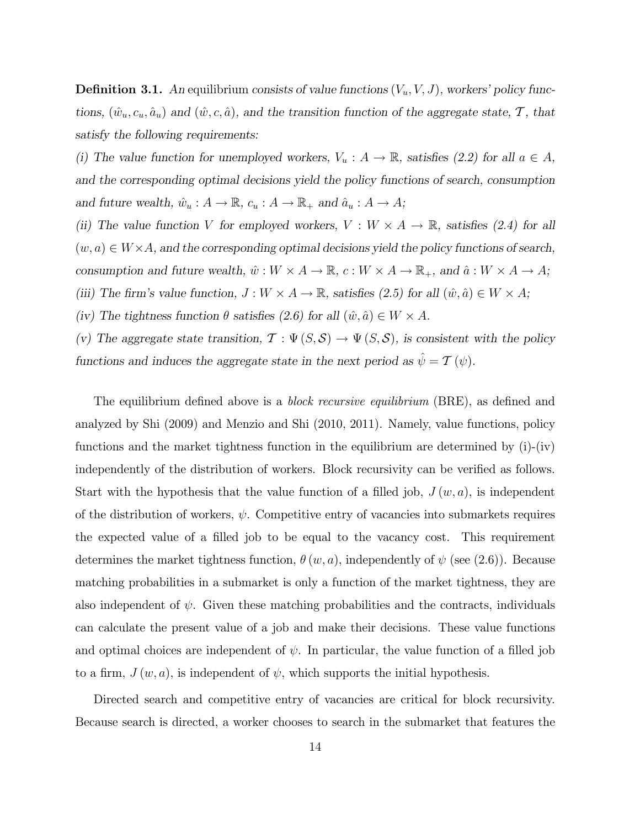**Definition 3.1.** An equilibrium consists of value functions  $(V_u, V, J)$ , workers' policy functions,  $(\hat{w}_u, c_u, \hat{a}_u)$  and  $(\hat{w}, c, \hat{a})$ , and the transition function of the aggregate state,  $\mathcal{T}$ , that satisfy the following requirements:

(i) The value function for unemployed workers,  $V_u : A \to \mathbb{R}$ , satisfies (2.2) for all  $a \in A$ , and the corresponding optimal decisions yield the policy functions of search, consumption and future wealth,  $\hat{w}_u : A \to \mathbb{R}$ ,  $c_u : A \to \mathbb{R}_+$  and  $\hat{a}_u : A \to A$ ;

(ii) The value function V for employed workers,  $V : W \times A \to \mathbb{R}$ , satisfies (2.4) for all  $(w, a) \in W \times A$ , and the corresponding optimal decisions yield the policy functions of search, consumption and future wealth,  $\hat{w}:W\times A\rightarrow \mathbb{R},$   $c:W\times A\rightarrow \mathbb{R}_+,$  and  $\hat{a}:W\times A\rightarrow A;$ 

(iii) The firm's value function,  $J: W \times A \to \mathbb{R}$ , satisfies (2.5) for all  $(\hat{w}, \hat{a}) \in W \times A$ ;

(iv) The tightness function  $\theta$  satisfies (2.6) for all  $(\hat{w}, \hat{a}) \in W \times A$ .

(v) The aggregate state transition,  $\mathcal{T} : \Psi(S, \mathcal{S}) \to \Psi(S, \mathcal{S})$ , is consistent with the policy functions and induces the aggregate state in the next period as  $\hat{\psi} = \mathcal{T}(\psi)$ .

The equilibrium defined above is a *block recursive equilibrium* (BRE), as defined and analyzed by Shi (2009) and Menzio and Shi (2010, 2011). Namely, value functions, policy functions and the market tightness function in the equilibrium are determined by  $(i)-(iv)$ independently of the distribution of workers. Block recursivity can be verified as follows. Start with the hypothesis that the value function of a filled job,  $J(w, a)$ , is independent of the distribution of workers,  $\psi$ . Competitive entry of vacancies into submarkets requires the expected value of a filled job to be equal to the vacancy cost. This requirement determines the market tightness function,  $\theta(w, a)$ , independently of  $\psi$  (see (2.6)). Because matching probabilities in a submarket is only a function of the market tightness, they are also independent of  $\psi$ . Given these matching probabilities and the contracts, individuals can calculate the present value of a job and make their decisions. These value functions and optimal choices are independent of  $\psi$ . In particular, the value function of a filled job to a firm,  $J(w, a)$ , is independent of  $\psi$ , which supports the initial hypothesis.

Directed search and competitive entry of vacancies are critical for block recursivity. Because search is directed, a worker chooses to search in the submarket that features the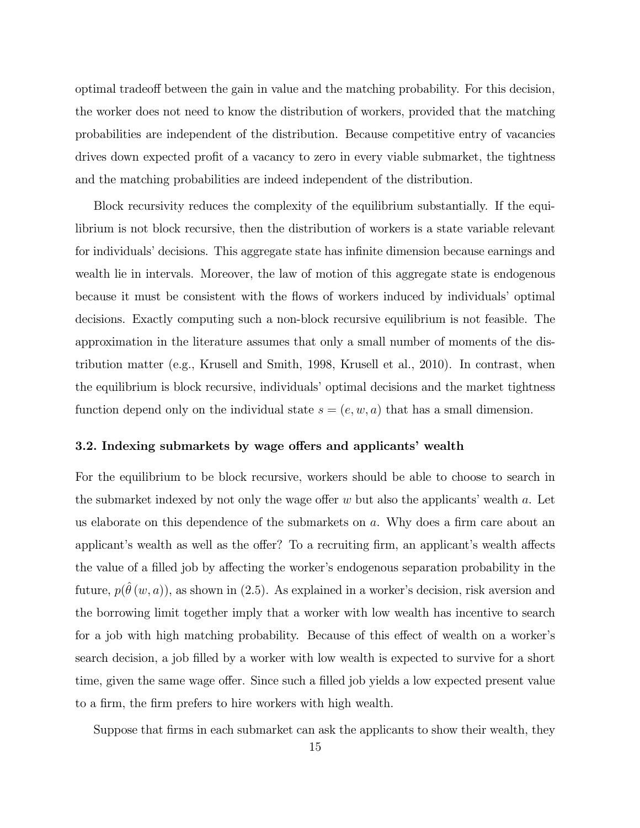optimal tradeoff between the gain in value and the matching probability. For this decision, the worker does not need to know the distribution of workers, provided that the matching probabilities are independent of the distribution. Because competitive entry of vacancies drives down expected profit of a vacancy to zero in every viable submarket, the tightness and the matching probabilities are indeed independent of the distribution.

Block recursivity reduces the complexity of the equilibrium substantially. If the equilibrium is not block recursive, then the distribution of workers is a state variable relevant for individuals' decisions. This aggregate state has infinite dimension because earnings and wealth lie in intervals. Moreover, the law of motion of this aggregate state is endogenous because it must be consistent with the flows of workers induced by individuals' optimal decisions. Exactly computing such a non-block recursive equilibrium is not feasible. The approximation in the literature assumes that only a small number of moments of the distribution matter (e.g., Krusell and Smith, 1998, Krusell et al., 2010). In contrast, when the equilibrium is block recursive, individuals' optimal decisions and the market tightness function depend only on the individual state  $s = (e, w, a)$  that has a small dimension.

#### 3.2. Indexing submarkets by wage offers and applicants' wealth

For the equilibrium to be block recursive, workers should be able to choose to search in the submarket indexed by not only the wage offer  $w$  but also the applicants' wealth  $a$ . Let us elaborate on this dependence of the submarkets on  $a$ . Why does a firm care about an applicant's wealth as well as the offer? To a recruiting firm, an applicant's wealth affects the value of a filled job by affecting the worker's endogenous separation probability in the future,  $p(\hat{\theta}(w, a))$ , as shown in (2.5). As explained in a worker's decision, risk aversion and the borrowing limit together imply that a worker with low wealth has incentive to search for a job with high matching probability. Because of this effect of wealth on a worker's search decision, a job filled by a worker with low wealth is expected to survive for a short time, given the same wage offer. Since such a filled job yields a low expected present value to a firm, the firm prefers to hire workers with high wealth.

Suppose that firms in each submarket can ask the applicants to show their wealth, they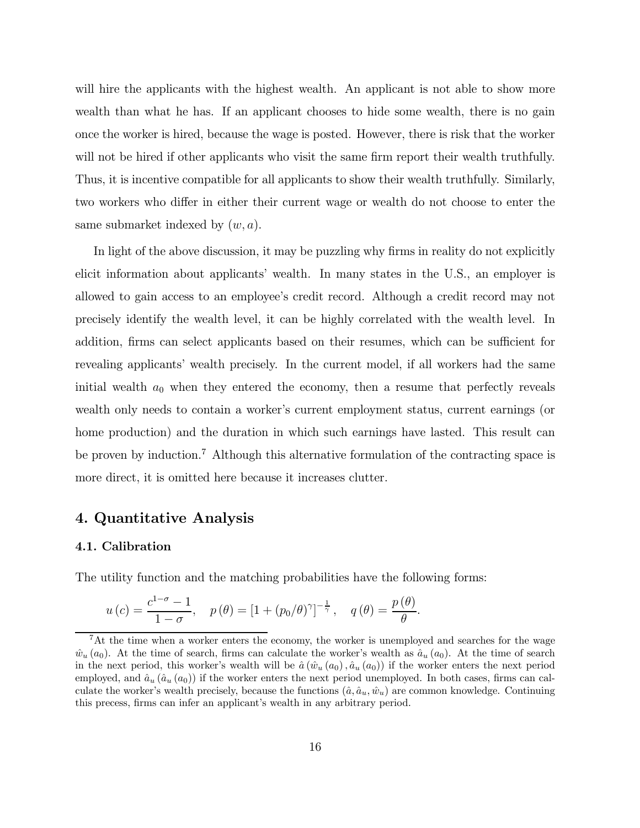will hire the applicants with the highest wealth. An applicant is not able to show more wealth than what he has. If an applicant chooses to hide some wealth, there is no gain once the worker is hired, because the wage is posted. However, there is risk that the worker will not be hired if other applicants who visit the same firm report their wealth truthfully. Thus, it is incentive compatible for all applicants to show their wealth truthfully. Similarly, two workers who differ in either their current wage or wealth do not choose to enter the same submarket indexed by  $(w, a)$ .

In light of the above discussion, it may be puzzling why firms in reality do not explicitly elicit information about applicants' wealth. In many states in the U.S., an employer is allowed to gain access to an employee's credit record. Although a credit record may not precisely identify the wealth level, it can be highly correlated with the wealth level. In addition, firms can select applicants based on their resumes, which can be sufficient for revealing applicants' wealth precisely. In the current model, if all workers had the same initial wealth  $a_0$  when they entered the economy, then a resume that perfectly reveals wealth only needs to contain a worker's current employment status, current earnings (or home production) and the duration in which such earnings have lasted. This result can be proven by induction.<sup>7</sup> Although this alternative formulation of the contracting space is more direct, it is omitted here because it increases clutter.

### 4. Quantitative Analysis

#### 4.1. Calibration

The utility function and the matching probabilities have the following forms:

$$
u(c) = \frac{c^{1-\sigma}-1}{1-\sigma}, \quad p(\theta) = \left[1+(p_0/\theta)^{\gamma}\right]^{-\frac{1}{\gamma}}, \quad q(\theta) = \frac{p(\theta)}{\theta}.
$$

<sup>&</sup>lt;sup>7</sup>At the time when a worker enters the economy, the worker is unemployed and searches for the wage  $\hat{w}_u(a_0)$ . At the time of search, firms can calculate the worker's wealth as  $\hat{a}_u(a_0)$ . At the time of search in the next period, this worker's wealth will be  $\hat{a}(\hat{w}_u(a_0), \hat{a}_u(a_0))$  if the worker enters the next period employed, and  $\hat{a}_u$  ( $\hat{a}_u$  ( $a_0$ )) if the worker enters the next period unemployed. In both cases, firms can calculate the worker's wealth precisely, because the functions  $(\hat{a}, \hat{a}_u, \hat{w}_u)$  are common knowledge. Continuing this precess, firms can infer an applicant's wealth in any arbitrary period.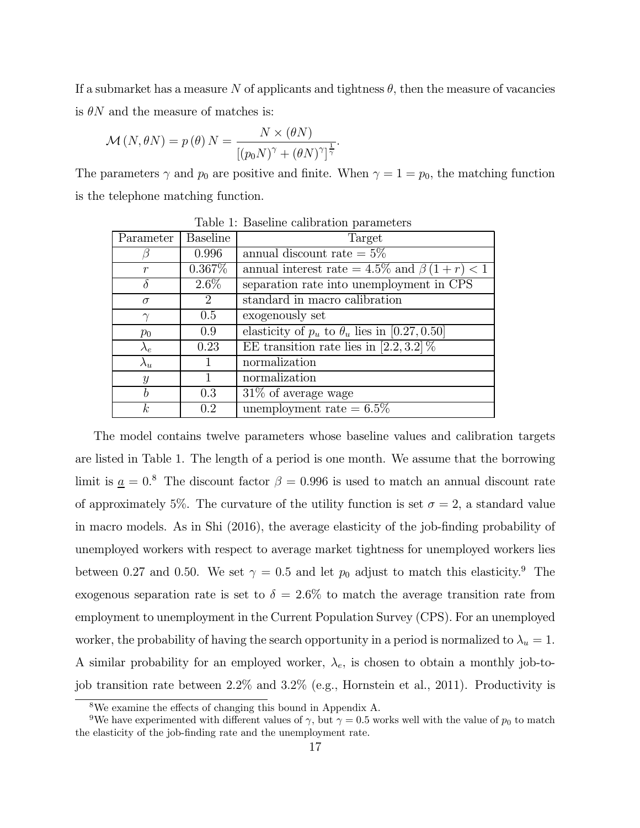If a submarket has a measure N of applicants and tightness  $\theta$ , then the measure of vacancies is  $\theta N$  and the measure of matches is:

 $\ddot{\phantom{0}}$ 

$$
\mathcal{M}(N,\theta N) = p(\theta) N = \frac{N \times (\theta N)}{[(p_0 N)^{\gamma} + (\theta N)^{\gamma}]^{\frac{1}{\gamma}}}
$$

The parameters  $\gamma$  and  $p_0$  are positive and finite. When  $\gamma = 1 = p_0$ , the matching function is the telephone matching function.

| Parameter        | <b>Baseline</b> | Target                                                 |
|------------------|-----------------|--------------------------------------------------------|
|                  | 0.996           | annual discount rate $= 5\%$                           |
| $\mathcal{r}$    | $0.367\%$       | annual interest rate = $4.5\%$ and $\beta(1+r) < 1$    |
| $\delta$         | $2.6\%$         | separation rate into unemployment in CPS               |
| $\sigma$         | $\overline{2}$  | standard in macro calibration                          |
| $\gamma$         | 0.5             | exogenously set                                        |
| $p_0$            | 0.9             | elasticity of $p_u$ to $\theta_u$ lies in [0.27, 0.50] |
| $\lambda_e$      | 0.23            | EE transition rate lies in [2.2, 3.2] $\%$             |
| $\lambda_u$      |                 | normalization                                          |
| $\mathcal{Y}$    |                 | normalization                                          |
| b                | 0.3             | $31\%$ of average wage                                 |
| $\boldsymbol{k}$ | 0.2             | unemployment rate $= 6.5\%$                            |

Table 1: Baseline calibration parameters

The model contains twelve parameters whose baseline values and calibration targets are listed in Table 1. The length of a period is one month. We assume that the borrowing limit is  $\alpha = 0.8$  The discount factor  $\beta = 0.996$  is used to match an annual discount rate of approximately 5%. The curvature of the utility function is set  $\sigma = 2$ , a standard value in macro models. As in Shi (2016), the average elasticity of the job-finding probability of unemployed workers with respect to average market tightness for unemployed workers lies between 0.27 and 0.50. We set  $\gamma = 0.5$  and let  $p_0$  adjust to match this elasticity.<sup>9</sup> The exogenous separation rate is set to  $\delta = 2.6\%$  to match the average transition rate from employment to unemployment in the Current Population Survey (CPS). For an unemployed worker, the probability of having the search opportunity in a period is normalized to  $\lambda_u = 1$ . A similar probability for an employed worker,  $\lambda_e$ , is chosen to obtain a monthly job-tojob transition rate between 22% and 32% (e.g., Hornstein et al., 2011). Productivity is

<sup>8</sup>We examine the effects of changing this bound in Appendix A.

<sup>&</sup>lt;sup>9</sup>We have experimented with different values of  $\gamma$ , but  $\gamma = 0.5$  works well with the value of  $p_0$  to match the elasticity of the job-finding rate and the unemployment rate.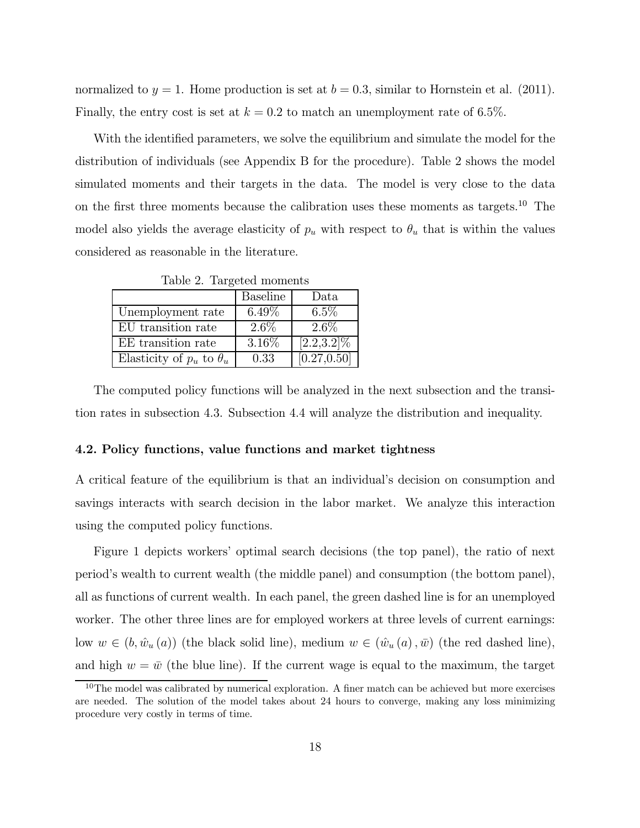normalized to  $y = 1$ . Home production is set at  $b = 0.3$ , similar to Hornstein et al. (2011). Finally, the entry cost is set at  $k = 0.2$  to match an unemployment rate of 6.5%.

With the identified parameters, we solve the equilibrium and simulate the model for the distribution of individuals (see Appendix B for the procedure). Table 2 shows the model simulated moments and their targets in the data. The model is very close to the data on the first three moments because the calibration uses these moments as targets.<sup>10</sup> The model also yields the average elasticity of  $p_u$  with respect to  $\theta_u$  that is within the values considered as reasonable in the literature.

|                                   | <b>Baseline</b> | Data          |
|-----------------------------------|-----------------|---------------|
| Unemployment rate                 | $6.49\%$        | $6.5\%$       |
| EU transition rate                | $2.6\%$         | $2.6\%$       |
| EE transition rate                | $3.16\%$        | $[2.2,3.2]\%$ |
| Elasticity of $p_u$ to $\theta_u$ | 0.33            | [0.27, 0.50]  |

Table 2. Targeted moments

The computed policy functions will be analyzed in the next subsection and the transition rates in subsection 4.3. Subsection 4.4 will analyze the distribution and inequality.

#### 4.2. Policy functions, value functions and market tightness

A critical feature of the equilibrium is that an individual's decision on consumption and savings interacts with search decision in the labor market. We analyze this interaction using the computed policy functions.

Figure 1 depicts workers' optimal search decisions (the top panel), the ratio of next period's wealth to current wealth (the middle panel) and consumption (the bottom panel), all as functions of current wealth. In each panel, the green dashed line is for an unemployed worker. The other three lines are for employed workers at three levels of current earnings: low  $w \in (b, \hat{w}_u(a))$  (the black solid line), medium  $w \in (\hat{w}_u(a), \bar{w})$  (the red dashed line), and high  $w = \bar{w}$  (the blue line). If the current wage is equal to the maximum, the target

 $10$ The model was calibrated by numerical exploration. A finer match can be achieved but more exercises are needed. The solution of the model takes about 24 hours to converge, making any loss minimizing procedure very costly in terms of time.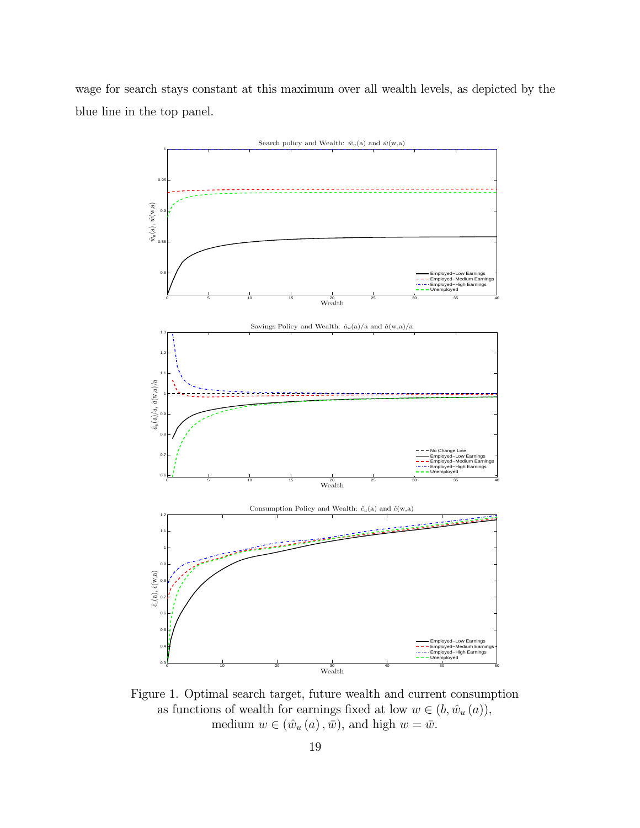wage for search stays constant at this maximum over all wealth levels, as depicted by the blue line in the top panel.



Figure 1. Optimal search target, future wealth and current consumption as functions of wealth for earnings fixed at low  $w \in (b, \hat{w}_u(a)),$ medium  $w \in (\hat{w}_u(a), \bar{w})$ , and high  $w = \bar{w}$ .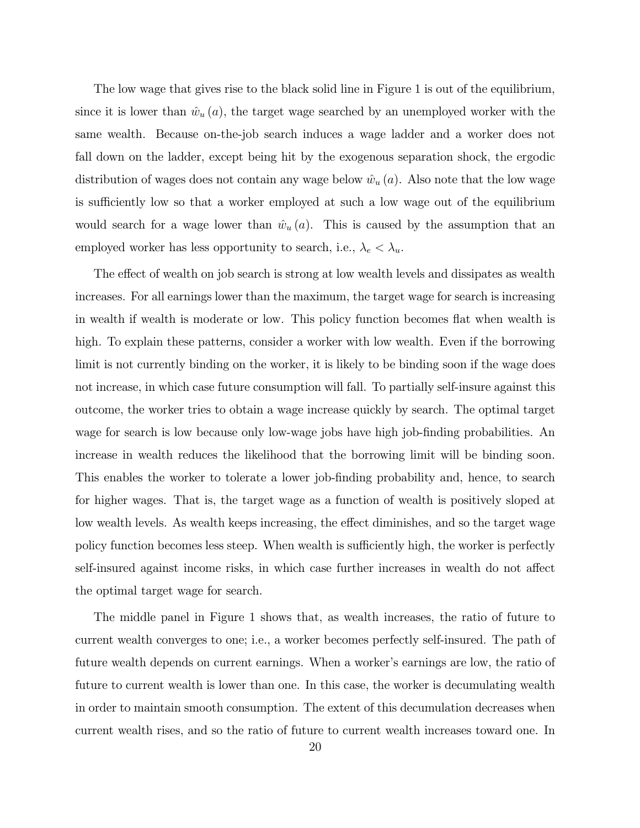The low wage that gives rise to the black solid line in Figure 1 is out of the equilibrium, since it is lower than  $\hat{w}_u(a)$ , the target wage searched by an unemployed worker with the same wealth. Because on-the-job search induces a wage ladder and a worker does not fall down on the ladder, except being hit by the exogenous separation shock, the ergodic distribution of wages does not contain any wage below  $\hat{w}_u(a)$ . Also note that the low wage is sufficiently low so that a worker employed at such a low wage out of the equilibrium would search for a wage lower than  $\hat{w}_u(a)$ . This is caused by the assumption that an employed worker has less opportunity to search, i.e.,  $\lambda_e < \lambda_u$ .

The effect of wealth on job search is strong at low wealth levels and dissipates as wealth increases. For all earnings lower than the maximum, the target wage for search is increasing in wealth if wealth is moderate or low. This policy function becomes flat when wealth is high. To explain these patterns, consider a worker with low wealth. Even if the borrowing limit is not currently binding on the worker, it is likely to be binding soon if the wage does not increase, in which case future consumption will fall. To partially self-insure against this outcome, the worker tries to obtain a wage increase quickly by search. The optimal target wage for search is low because only low-wage jobs have high job-finding probabilities. An increase in wealth reduces the likelihood that the borrowing limit will be binding soon. This enables the worker to tolerate a lower job-finding probability and, hence, to search for higher wages. That is, the target wage as a function of wealth is positively sloped at low wealth levels. As wealth keeps increasing, the effect diminishes, and so the target wage policy function becomes less steep. When wealth is sufficiently high, the worker is perfectly self-insured against income risks, in which case further increases in wealth do not affect the optimal target wage for search.

The middle panel in Figure 1 shows that, as wealth increases, the ratio of future to current wealth converges to one; i.e., a worker becomes perfectly self-insured. The path of future wealth depends on current earnings. When a worker's earnings are low, the ratio of future to current wealth is lower than one. In this case, the worker is decumulating wealth in order to maintain smooth consumption. The extent of this decumulation decreases when current wealth rises, and so the ratio of future to current wealth increases toward one. In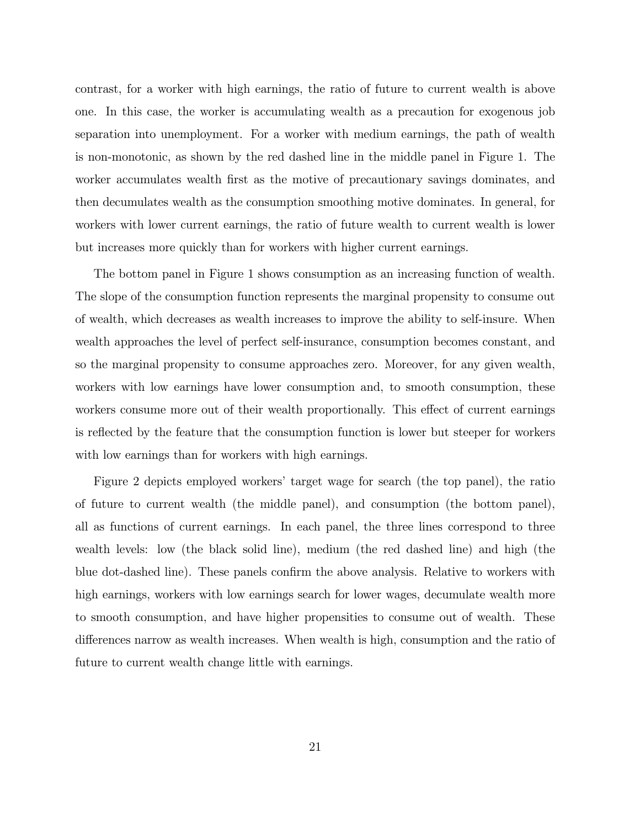contrast, for a worker with high earnings, the ratio of future to current wealth is above one. In this case, the worker is accumulating wealth as a precaution for exogenous job separation into unemployment. For a worker with medium earnings, the path of wealth is non-monotonic, as shown by the red dashed line in the middle panel in Figure 1. The worker accumulates wealth first as the motive of precautionary savings dominates, and then decumulates wealth as the consumption smoothing motive dominates. In general, for workers with lower current earnings, the ratio of future wealth to current wealth is lower but increases more quickly than for workers with higher current earnings.

The bottom panel in Figure 1 shows consumption as an increasing function of wealth. The slope of the consumption function represents the marginal propensity to consume out of wealth, which decreases as wealth increases to improve the ability to self-insure. When wealth approaches the level of perfect self-insurance, consumption becomes constant, and so the marginal propensity to consume approaches zero. Moreover, for any given wealth, workers with low earnings have lower consumption and, to smooth consumption, these workers consume more out of their wealth proportionally. This effect of current earnings is reflected by the feature that the consumption function is lower but steeper for workers with low earnings than for workers with high earnings.

Figure 2 depicts employed workers' target wage for search (the top panel), the ratio of future to current wealth (the middle panel), and consumption (the bottom panel), all as functions of current earnings. In each panel, the three lines correspond to three wealth levels: low (the black solid line), medium (the red dashed line) and high (the blue dot-dashed line). These panels confirm the above analysis. Relative to workers with high earnings, workers with low earnings search for lower wages, decumulate wealth more to smooth consumption, and have higher propensities to consume out of wealth. These differences narrow as wealth increases. When wealth is high, consumption and the ratio of future to current wealth change little with earnings.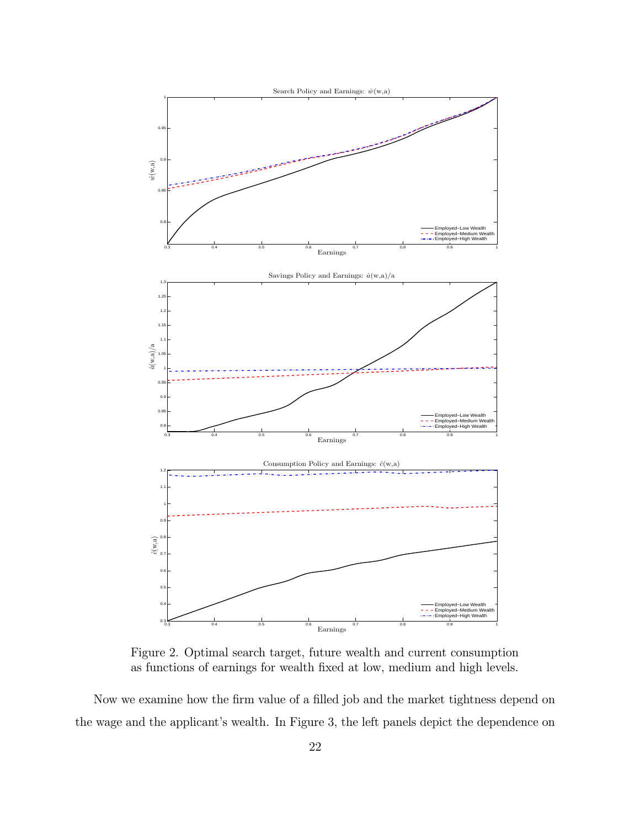

Figure 2. Optimal search target, future wealth and current consumption as functions of earnings for wealth fixed at low, medium and high levels.

Now we examine how the firm value of a filled job and the market tightness depend on the wage and the applicant's wealth. In Figure 3, the left panels depict the dependence on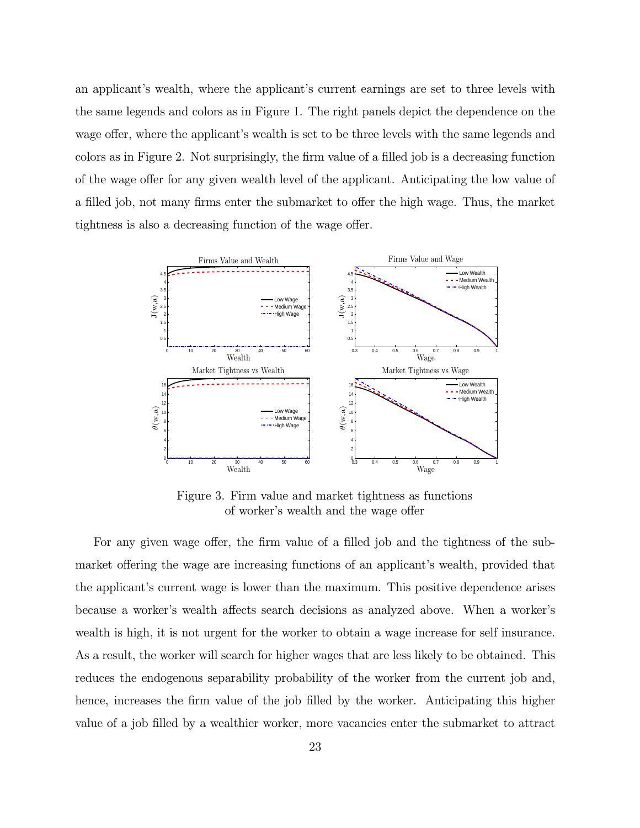an applicant's wealth, where the applicant's current earnings are set to three levels with the same legends and colors as in Figure 1. The right panels depict the dependence on the wage offer, where the applicant's wealth is set to be three levels with the same legends and colors as in Figure 2. Not surprisingly, the firm value of a filled job is a decreasing function of the wage offer for any given wealth level of the applicant. Anticipating the low value of a filled job, not many firms enter the submarket to offer the high wage. Thus, the market tightness is also a decreasing function of the wage offer.



Figure 3. Firm value and market tightness as functions of worker's wealth and the wage offer

For any given wage offer, the firm value of a filled job and the tightness of the submarket offering the wage are increasing functions of an applicant's wealth, provided that the applicant's current wage is lower than the maximum. This positive dependence arises because a worker's wealth affects search decisions as analyzed above. When a worker's wealth is high, it is not urgent for the worker to obtain a wage increase for self insurance. As a result, the worker will search for higher wages that are less likely to be obtained. This reduces the endogenous separability probability of the worker from the current job and, hence, increases the firm value of the job filled by the worker. Anticipating this higher value of a job filled by a wealthier worker, more vacancies enter the submarket to attract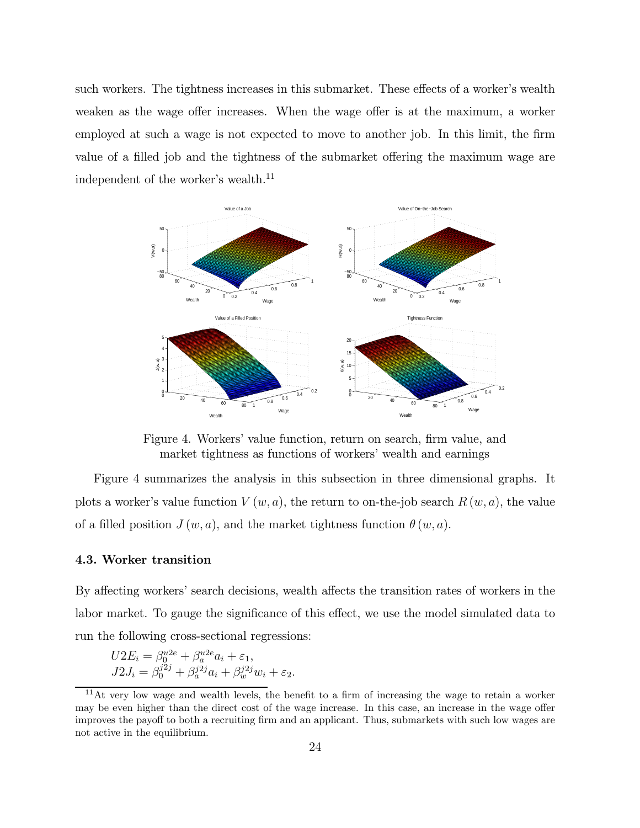such workers. The tightness increases in this submarket. These effects of a worker's wealth weaken as the wage offer increases. When the wage offer is at the maximum, a worker employed at such a wage is not expected to move to another job. In this limit, the firm value of a filled job and the tightness of the submarket offering the maximum wage are independent of the worker's wealth.<sup>11</sup>



Figure 4. Workers' value function, return on search, firm value, and market tightness as functions of workers' wealth and earnings

Figure 4 summarizes the analysis in this subsection in three dimensional graphs. It plots a worker's value function  $V(w, a)$ , the return to on-the-job search  $R(w, a)$ , the value of a filled position  $J(w, a)$ , and the market tightness function  $\theta(w, a)$ .

### 4.3. Worker transition

By affecting workers' search decisions, wealth affects the transition rates of workers in the labor market. To gauge the significance of this effect, we use the model simulated data to run the following cross-sectional regressions:

$$
U2E_i = \beta_0^{u2e} + \beta_a^{u2e} a_i + \varepsilon_1,
$$
  
\n
$$
J2J_i = \beta_0^{j2j} + \beta_a^{j2j} a_i + \beta_w^{j2j} w_i + \varepsilon_2.
$$

 $11$ At very low wage and wealth levels, the benefit to a firm of increasing the wage to retain a worker may be even higher than the direct cost of the wage increase. In this case, an increase in the wage offer improves the payoff to both a recruiting firm and an applicant. Thus, submarkets with such low wages are not active in the equilibrium.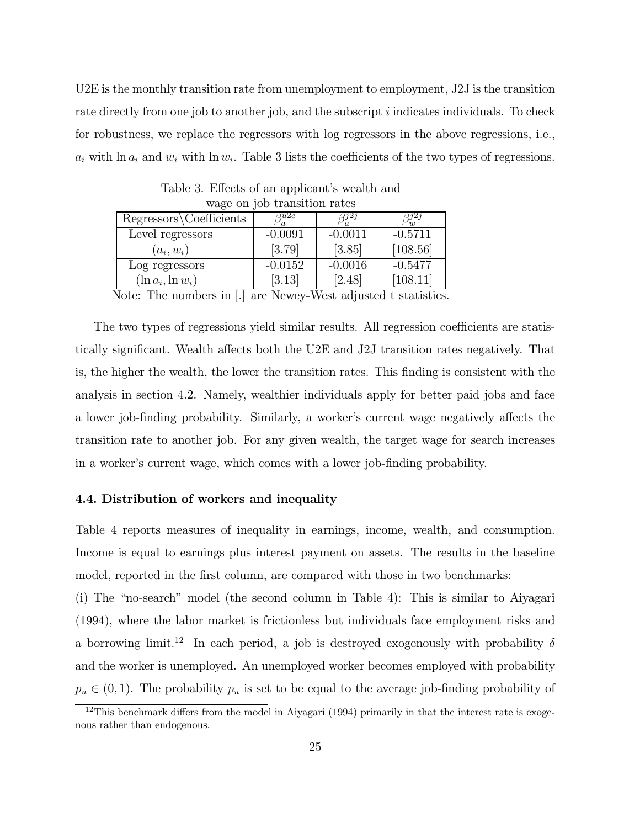U2E is the monthly transition rate from unemployment to employment, J2J is the transition rate directly from one job to another job, and the subscript *i* indicates individuals. To check for robustness, we replace the regressors with log regressors in the above regressions, i.e.,  $a_i$  with ln  $a_i$  and  $w_i$  with ln  $w_i$ . Table 3 lists the coefficients of the two types of regressions.

| $m\omega_{\rm N}$ on $m\omega_{\rm N}$ or $\omega_{\rm M}$ on $\omega_{\rm M}$ respectively |               |           |           |  |
|---------------------------------------------------------------------------------------------|---------------|-----------|-----------|--|
| Regressors\Coefficients                                                                     | $_{\rm Q}u2e$ | 312 j     | $7^{j2j}$ |  |
| Level regressors                                                                            | $-0.0091$     | $-0.0011$ | $-0.5711$ |  |
| $(a_i, w_i)$                                                                                | [3.79]        | [3.85]    | [108.56]  |  |
| Log regressors                                                                              | $-0.0152$     | $-0.0016$ | $-0.5477$ |  |
| $(\ln a_i, \ln w_i)$                                                                        | [3.13]        | [2.48]    | [108.11]  |  |
| <b>F</b> 7                                                                                  |               |           |           |  |

Table 3. Effects of an applicant's wealth and wage on job transition rates

Note: The numbers in  $|.|$  are Newey-West adjusted t statistics.

The two types of regressions yield similar results. All regression coefficients are statistically significant. Wealth affects both the U2E and J2J transition rates negatively. That is, the higher the wealth, the lower the transition rates. This finding is consistent with the analysis in section 4.2. Namely, wealthier individuals apply for better paid jobs and face a lower job-finding probability. Similarly, a worker's current wage negatively affects the transition rate to another job. For any given wealth, the target wage for search increases in a worker's current wage, which comes with a lower job-finding probability.

#### 4.4. Distribution of workers and inequality

Table 4 reports measures of inequality in earnings, income, wealth, and consumption. Income is equal to earnings plus interest payment on assets. The results in the baseline model, reported in the first column, are compared with those in two benchmarks:

(i) The "no-search" model (the second column in Table 4): This is similar to Aiyagari (1994), where the labor market is frictionless but individuals face employment risks and a borrowing limit.<sup>12</sup> In each period, a job is destroyed exogenously with probability  $\delta$ and the worker is unemployed. An unemployed worker becomes employed with probability  $p_u \in (0, 1)$ . The probability  $p_u$  is set to be equal to the average job-finding probability of

 $12$ This benchmark differs from the model in Aiyagari (1994) primarily in that the interest rate is exogenous rather than endogenous.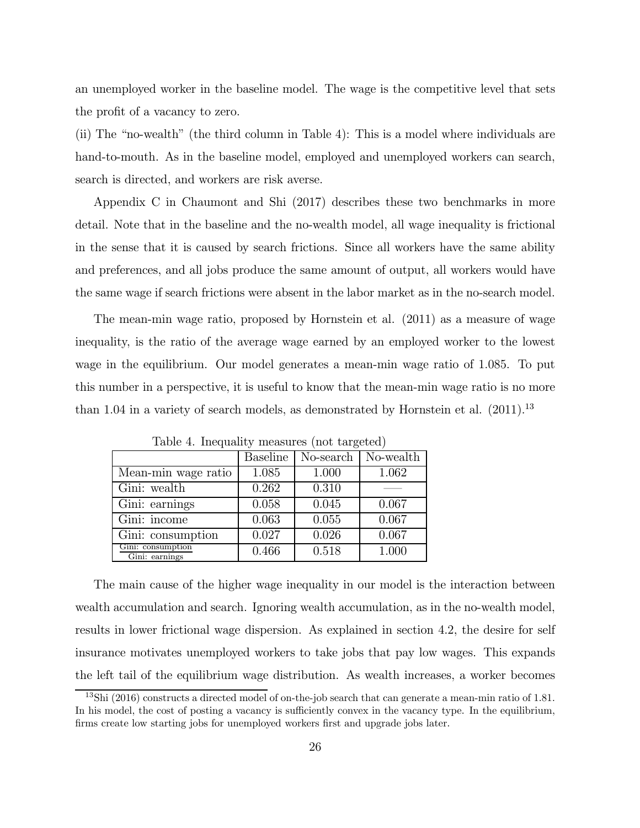an unemployed worker in the baseline model. The wage is the competitive level that sets the profit of a vacancy to zero.

(ii) The "no-wealth" (the third column in Table 4): This is a model where individuals are hand-to-mouth. As in the baseline model, employed and unemployed workers can search, search is directed, and workers are risk averse.

Appendix C in Chaumont and Shi (2017) describes these two benchmarks in more detail. Note that in the baseline and the no-wealth model, all wage inequality is frictional in the sense that it is caused by search frictions. Since all workers have the same ability and preferences, and all jobs produce the same amount of output, all workers would have the same wage if search frictions were absent in the labor market as in the no-search model.

The mean-min wage ratio, proposed by Hornstein et al. (2011) as a measure of wage inequality, is the ratio of the average wage earned by an employed worker to the lowest wage in the equilibrium. Our model generates a mean-min wage ratio of 1085. To put this number in a perspective, it is useful to know that the mean-min wage ratio is no more than 1.04 in a variety of search models, as demonstrated by Hornstein et al.  $(2011).<sup>13</sup>$ 

|                                     | <b>Baseline</b> | No-search | No-wealth |
|-------------------------------------|-----------------|-----------|-----------|
| Mean-min wage ratio                 | 1.085           | 1.000     | 1.062     |
| Gini: wealth                        | 0.262           | 0.310     |           |
| Gini: earnings                      | 0.058           | 0.045     | 0.067     |
| Gini: income                        | 0.063           | 0.055     | 0.067     |
| Gini: consumption                   | 0.027           | 0.026     | 0.067     |
| Gini: consumption<br>Gini: earnings | 0.466           | 0.518     | 1.000     |

Table 4. Inequality measures (not targeted)

The main cause of the higher wage inequality in our model is the interaction between wealth accumulation and search. Ignoring wealth accumulation, as in the no-wealth model, results in lower frictional wage dispersion. As explained in section 4.2, the desire for self insurance motivates unemployed workers to take jobs that pay low wages. This expands the left tail of the equilibrium wage distribution. As wealth increases, a worker becomes

 $13\text{Shi}$  (2016) constructs a directed model of on-the-job search that can generate a mean-min ratio of 1.81. In his model, the cost of posting a vacancy is sufficiently convex in the vacancy type. In the equilibrium, firms create low starting jobs for unemployed workers first and upgrade jobs later.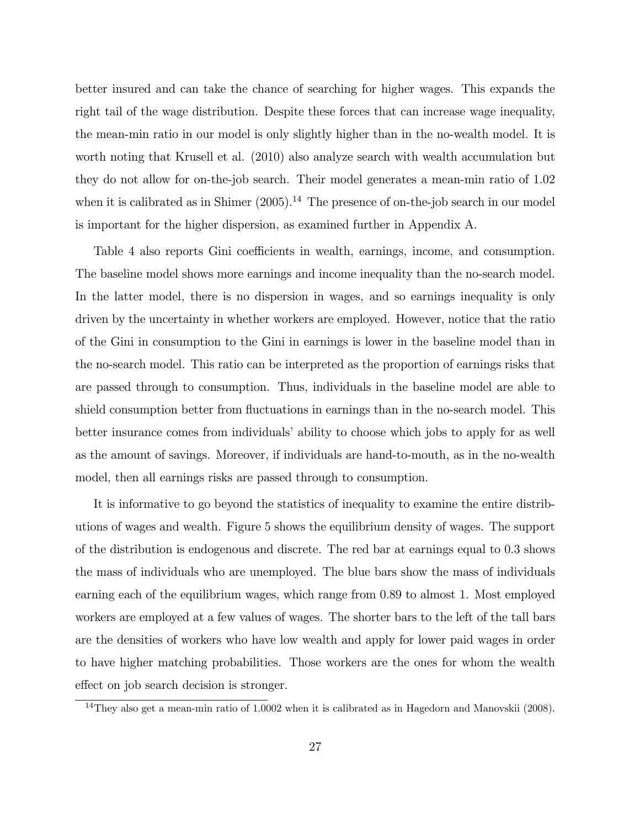better insured and can take the chance of searching for higher wages. This expands the right tail of the wage distribution. Despite these forces that can increase wage inequality, the mean-min ratio in our model is only slightly higher than in the no-wealth model. It is worth noting that Krusell et al. (2010) also analyze search with wealth accumulation but they do not allow for on-the-job search. Their model generates a mean-min ratio of 102 when it is calibrated as in Shimer  $(2005)$ .<sup>14</sup> The presence of on-the-job search in our model is important for the higher dispersion, as examined further in Appendix A.

Table 4 also reports Gini coefficients in wealth, earnings, income, and consumption. The baseline model shows more earnings and income inequality than the no-search model. In the latter model, there is no dispersion in wages, and so earnings inequality is only driven by the uncertainty in whether workers are employed. However, notice that the ratio of the Gini in consumption to the Gini in earnings is lower in the baseline model than in the no-search model. This ratio can be interpreted as the proportion of earnings risks that are passed through to consumption. Thus, individuals in the baseline model are able to shield consumption better from fluctuations in earnings than in the no-search model. This better insurance comes from individuals' ability to choose which jobs to apply for as well as the amount of savings. Moreover, if individuals are hand-to-mouth, as in the no-wealth model, then all earnings risks are passed through to consumption.

It is informative to go beyond the statistics of inequality to examine the entire distributions of wages and wealth. Figure 5 shows the equilibrium density of wages. The support of the distribution is endogenous and discrete. The red bar at earnings equal to 03 shows the mass of individuals who are unemployed. The blue bars show the mass of individuals earning each of the equilibrium wages, which range from 089 to almost 1. Most employed workers are employed at a few values of wages. The shorter bars to the left of the tall bars are the densities of workers who have low wealth and apply for lower paid wages in order to have higher matching probabilities. Those workers are the ones for whom the wealth effect on job search decision is stronger.

<sup>14</sup>They also get a mean-min ratio of 10002 when it is calibrated as in Hagedorn and Manovskii (2008).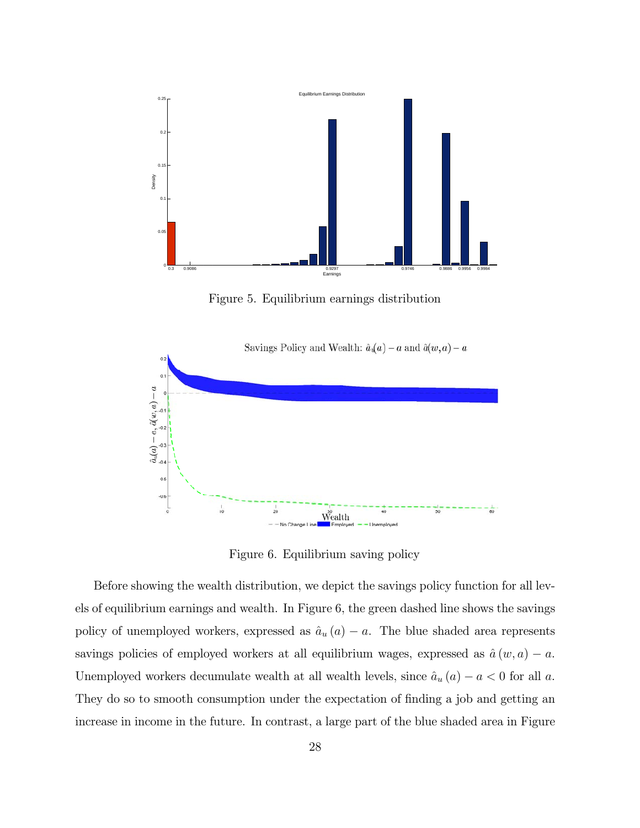

Figure 5. Equilibrium earnings distribution



Figure 6. Equilibrium saving policy

Before showing the wealth distribution, we depict the savings policy function for all levels of equilibrium earnings and wealth. In Figure 6, the green dashed line shows the savings policy of unemployed workers, expressed as  $\hat{a}_u(a) - a$ . The blue shaded area represents savings policies of employed workers at all equilibrium wages, expressed as  $\hat{a}(w, a) - a$ . Unemployed workers decumulate wealth at all wealth levels, since  $\hat{a}_u(a) - a < 0$  for all a. They do so to smooth consumption under the expectation of finding a job and getting an increase in income in the future. In contrast, a large part of the blue shaded area in Figure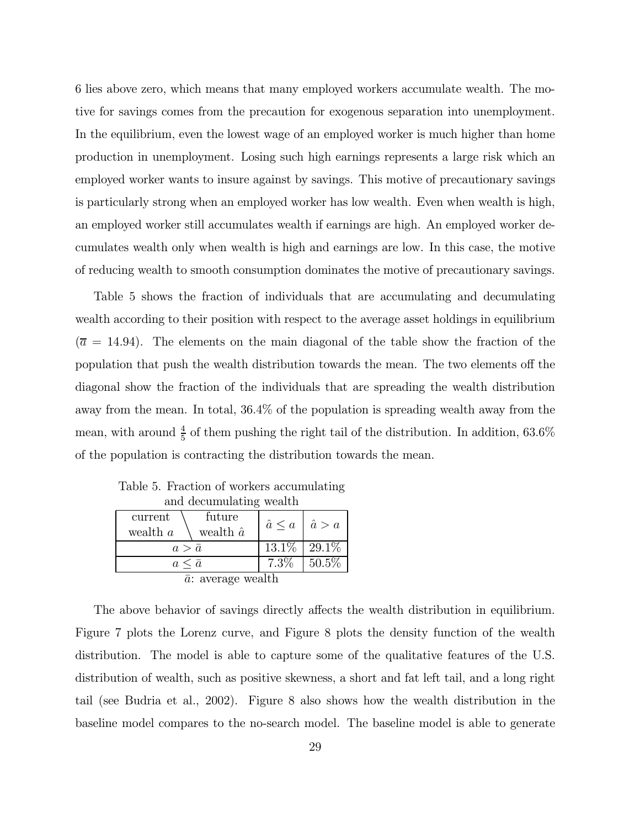6 lies above zero, which means that many employed workers accumulate wealth. The motive for savings comes from the precaution for exogenous separation into unemployment. In the equilibrium, even the lowest wage of an employed worker is much higher than home production in unemployment. Losing such high earnings represents a large risk which an employed worker wants to insure against by savings. This motive of precautionary savings is particularly strong when an employed worker has low wealth. Even when wealth is high, an employed worker still accumulates wealth if earnings are high. An employed worker decumulates wealth only when wealth is high and earnings are low. In this case, the motive of reducing wealth to smooth consumption dominates the motive of precautionary savings.

Table 5 shows the fraction of individuals that are accumulating and decumulating wealth according to their position with respect to the average asset holdings in equilibrium  $(\bar{a} = 14.94)$ . The elements on the main diagonal of the table show the fraction of the population that push the wealth distribution towards the mean. The two elements off the diagonal show the fraction of the individuals that are spreading the wealth distribution away from the mean. In total, 364% of the population is spreading wealth away from the mean, with around  $\frac{4}{5}$  of them pushing the right tail of the distribution. In addition, 63.6% of the population is contracting the distribution towards the mean.

| and decumulating wealth                             |         |                                   |  |
|-----------------------------------------------------|---------|-----------------------------------|--|
| future<br>current<br>wealth $\hat{a}$<br>wealth $a$ |         | $\hat{a} \leq a \mid \hat{a} > a$ |  |
| $a > \bar{a}$                                       |         | $13.1\%$   29.1\%                 |  |
| $a \leq \bar{a}$                                    | $7.3\%$ | $50.5\%$                          |  |
| $\bar{a}$ : average wealth                          |         |                                   |  |

Table 5. Fraction of workers accumulating

The above behavior of savings directly affects the wealth distribution in equilibrium. Figure 7 plots the Lorenz curve, and Figure 8 plots the density function of the wealth distribution. The model is able to capture some of the qualitative features of the U.S. distribution of wealth, such as positive skewness, a short and fat left tail, and a long right tail (see Budria et al., 2002). Figure 8 also shows how the wealth distribution in the baseline model compares to the no-search model. The baseline model is able to generate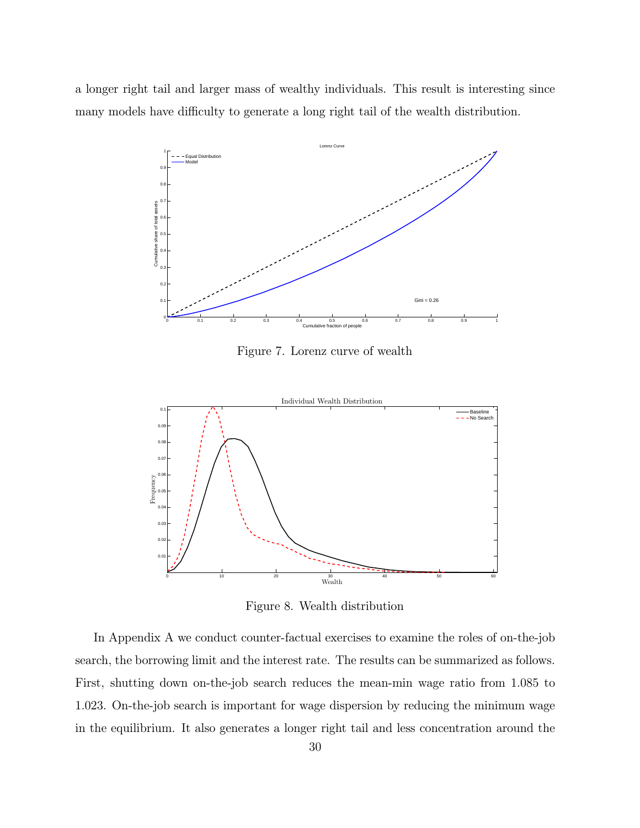a longer right tail and larger mass of wealthy individuals. This result is interesting since many models have difficulty to generate a long right tail of the wealth distribution.



Figure 7. Lorenz curve of wealth



Figure 8. Wealth distribution

In Appendix A we conduct counter-factual exercises to examine the roles of on-the-job search, the borrowing limit and the interest rate. The results can be summarized as follows. First, shutting down on-the-job search reduces the mean-min wage ratio from 1085 to 1023. On-the-job search is important for wage dispersion by reducing the minimum wage in the equilibrium. It also generates a longer right tail and less concentration around the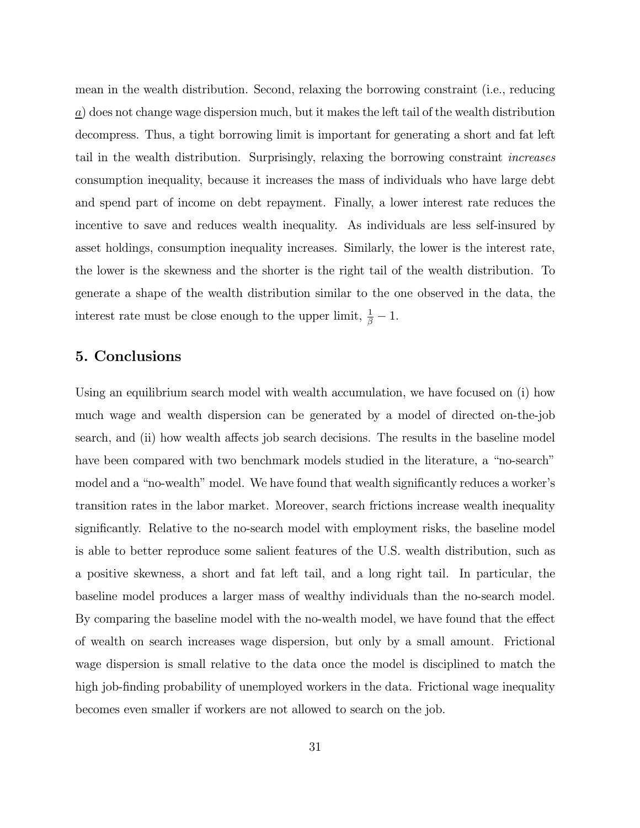mean in the wealth distribution. Second, relaxing the borrowing constraint (i.e., reducing  $\underline{a}$ ) does not change wage dispersion much, but it makes the left tail of the wealth distribution decompress. Thus, a tight borrowing limit is important for generating a short and fat left tail in the wealth distribution. Surprisingly, relaxing the borrowing constraint increases consumption inequality, because it increases the mass of individuals who have large debt and spend part of income on debt repayment. Finally, a lower interest rate reduces the incentive to save and reduces wealth inequality. As individuals are less self-insured by asset holdings, consumption inequality increases. Similarly, the lower is the interest rate, the lower is the skewness and the shorter is the right tail of the wealth distribution. To generate a shape of the wealth distribution similar to the one observed in the data, the interest rate must be close enough to the upper limit,  $\frac{1}{\beta} - 1$ .

### 5. Conclusions

Using an equilibrium search model with wealth accumulation, we have focused on (i) how much wage and wealth dispersion can be generated by a model of directed on-the-job search, and (ii) how wealth affects job search decisions. The results in the baseline model have been compared with two benchmark models studied in the literature, a "no-search" model and a "no-wealth" model. We have found that wealth significantly reduces a worker's transition rates in the labor market. Moreover, search frictions increase wealth inequality significantly. Relative to the no-search model with employment risks, the baseline model is able to better reproduce some salient features of the U.S. wealth distribution, such as a positive skewness, a short and fat left tail, and a long right tail. In particular, the baseline model produces a larger mass of wealthy individuals than the no-search model. By comparing the baseline model with the no-wealth model, we have found that the effect of wealth on search increases wage dispersion, but only by a small amount. Frictional wage dispersion is small relative to the data once the model is disciplined to match the high job-finding probability of unemployed workers in the data. Frictional wage inequality becomes even smaller if workers are not allowed to search on the job.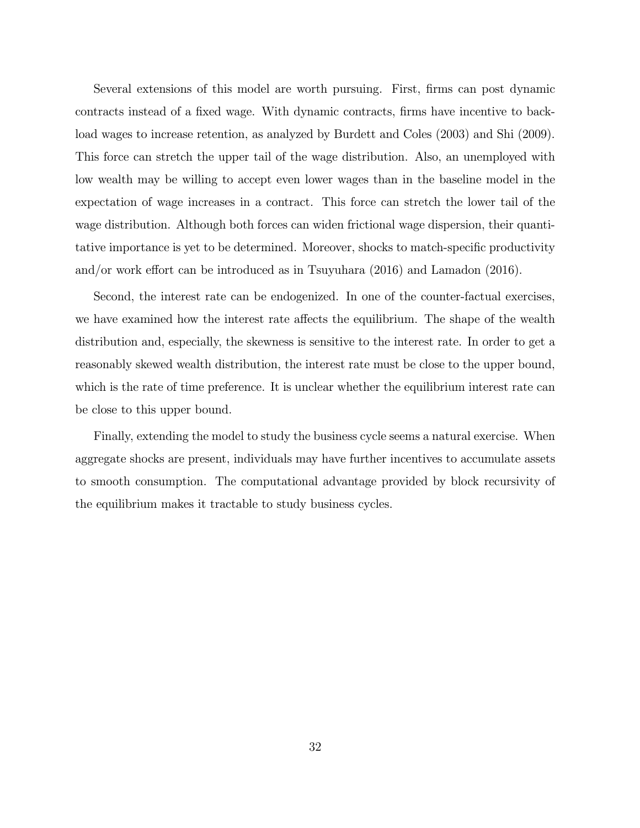Several extensions of this model are worth pursuing. First, firms can post dynamic contracts instead of a fixed wage. With dynamic contracts, firms have incentive to backload wages to increase retention, as analyzed by Burdett and Coles (2003) and Shi (2009). This force can stretch the upper tail of the wage distribution. Also, an unemployed with low wealth may be willing to accept even lower wages than in the baseline model in the expectation of wage increases in a contract. This force can stretch the lower tail of the wage distribution. Although both forces can widen frictional wage dispersion, their quantitative importance is yet to be determined. Moreover, shocks to match-specific productivity and/or work effort can be introduced as in Tsuyuhara (2016) and Lamadon (2016).

Second, the interest rate can be endogenized. In one of the counter-factual exercises, we have examined how the interest rate affects the equilibrium. The shape of the wealth distribution and, especially, the skewness is sensitive to the interest rate. In order to get a reasonably skewed wealth distribution, the interest rate must be close to the upper bound, which is the rate of time preference. It is unclear whether the equilibrium interest rate can be close to this upper bound.

Finally, extending the model to study the business cycle seems a natural exercise. When aggregate shocks are present, individuals may have further incentives to accumulate assets to smooth consumption. The computational advantage provided by block recursivity of the equilibrium makes it tractable to study business cycles.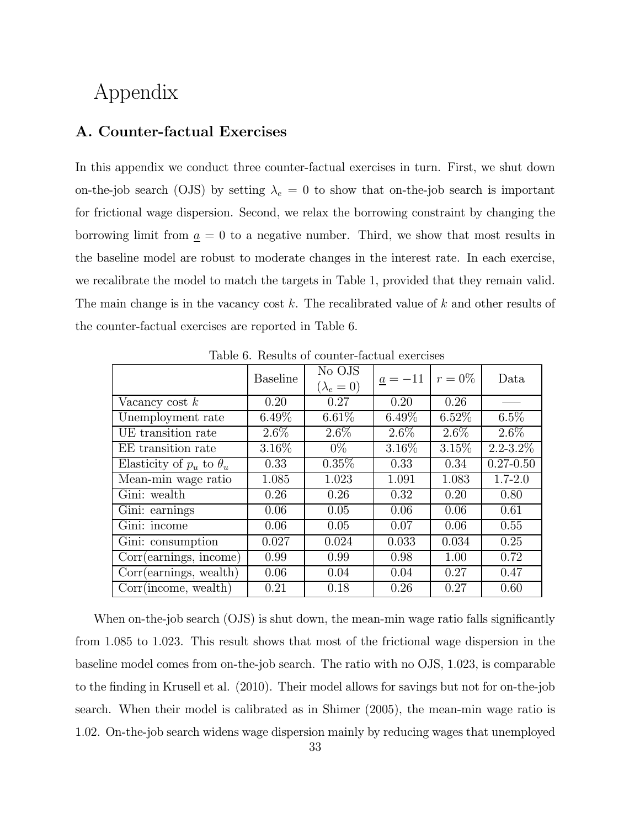## Appendix

### A. Counter-factual Exercises

In this appendix we conduct three counter-factual exercises in turn. First, we shut down on-the-job search (OJS) by setting  $\lambda_e = 0$  to show that on-the-job search is important for frictional wage dispersion. Second, we relax the borrowing constraint by changing the borrowing limit from  $\underline{a} = 0$  to a negative number. Third, we show that most results in the baseline model are robust to moderate changes in the interest rate. In each exercise, we recalibrate the model to match the targets in Table 1, provided that they remain valid. The main change is in the vacancy cost  $k$ . The recalibrated value of  $k$  and other results of the counter-factual exercises are reported in Table 6.

|                                   | <b>Baseline</b> | No OJS<br>$(\lambda_e=0)$ | $a = -11$ | $r = 0\%$ | Data          |
|-----------------------------------|-----------------|---------------------------|-----------|-----------|---------------|
| Vacancy cost $k$                  | 0.20            | 0.27                      | 0.20      | 0.26      |               |
| Unemployment rate                 | $6.49\%$        | $6.61\%$                  | $6.49\%$  | $6.52\%$  | $6.5\%$       |
| UE transition rate                | $2.6\%$         | $2.6\%$                   | $2.6\%$   | $2.6\%$   | $2.6\%$       |
| EE transition rate                | $3.16\%$        | $0\%$                     | $3.16\%$  | $3.15\%$  | $2.2 - 3.2\%$ |
| Elasticity of $p_u$ to $\theta_u$ | 0.33            | $0.35\%$                  | 0.33      | 0.34      | $0.27 - 0.50$ |
| Mean-min wage ratio               | 1.085           | 1.023                     | 1.091     | 1.083     | $1.7 - 2.0$   |
| Gini: wealth                      | 0.26            | 0.26                      | 0.32      | 0.20      | 0.80          |
| Gini: earnings                    | 0.06            | 0.05                      | 0.06      | 0.06      | 0.61          |
| Gini: income                      | 0.06            | 0.05                      | 0.07      | 0.06      | 0.55          |
| Gini: consumption                 | 0.027           | 0.024                     | 0.033     | 0.034     | 0.25          |
| Corr(earnings, income)            | 0.99            | 0.99                      | 0.98      | 1.00      | 0.72          |
| Corr(earnings, wealth)            | 0.06            | 0.04                      | 0.04      | 0.27      | 0.47          |
| Corr(income, wealth)              | 0.21            | 0.18                      | 0.26      | 0.27      | 0.60          |

Table 6. Results of counter-factual exercises

When on-the-job search (OJS) is shut down, the mean-min wage ratio falls significantly from 1085 to 1023. This result shows that most of the frictional wage dispersion in the baseline model comes from on-the-job search. The ratio with no OJS, 1023, is comparable to the finding in Krusell et al. (2010). Their model allows for savings but not for on-the-job search. When their model is calibrated as in Shimer (2005), the mean-min wage ratio is 102. On-the-job search widens wage dispersion mainly by reducing wages that unemployed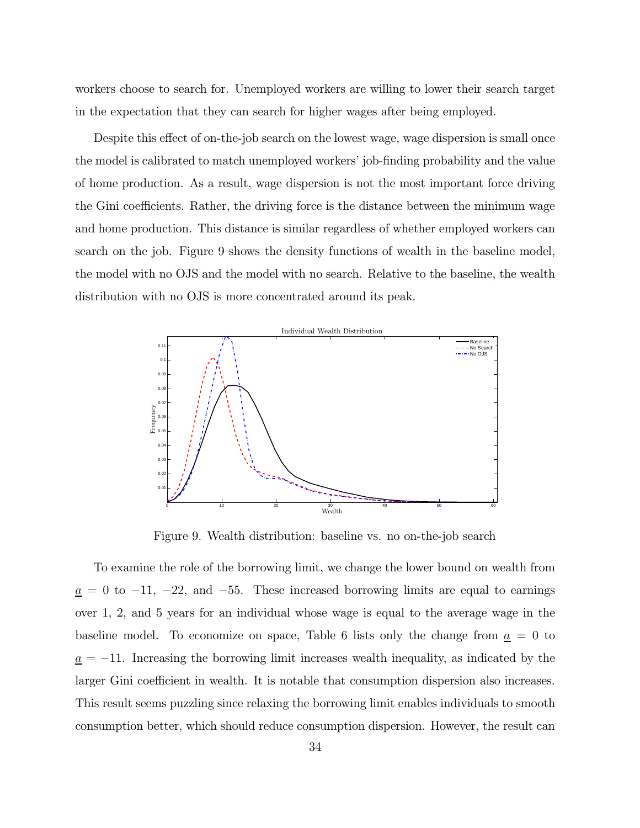workers choose to search for. Unemployed workers are willing to lower their search target in the expectation that they can search for higher wages after being employed.

Despite this effect of on-the-job search on the lowest wage, wage dispersion is small once the model is calibrated to match unemployed workers' job-finding probability and the value of home production. As a result, wage dispersion is not the most important force driving the Gini coefficients. Rather, the driving force is the distance between the minimum wage and home production. This distance is similar regardless of whether employed workers can search on the job. Figure 9 shows the density functions of wealth in the baseline model, the model with no OJS and the model with no search. Relative to the baseline, the wealth distribution with no OJS is more concentrated around its peak.



Figure 9. Wealth distribution: baseline vs. no on-the-job search

To examine the role of the borrowing limit, we change the lower bound on wealth from  $\underline{a} = 0$  to −11, −22, and −55. These increased borrowing limits are equal to earnings over 1, 2, and 5 years for an individual whose wage is equal to the average wage in the baseline model. To economize on space, Table 6 lists only the change from  $\underline{a} = 0$  to  $\underline{a} = -11$ . Increasing the borrowing limit increases wealth inequality, as indicated by the larger Gini coefficient in wealth. It is notable that consumption dispersion also increases. This result seems puzzling since relaxing the borrowing limit enables individuals to smooth consumption better, which should reduce consumption dispersion. However, the result can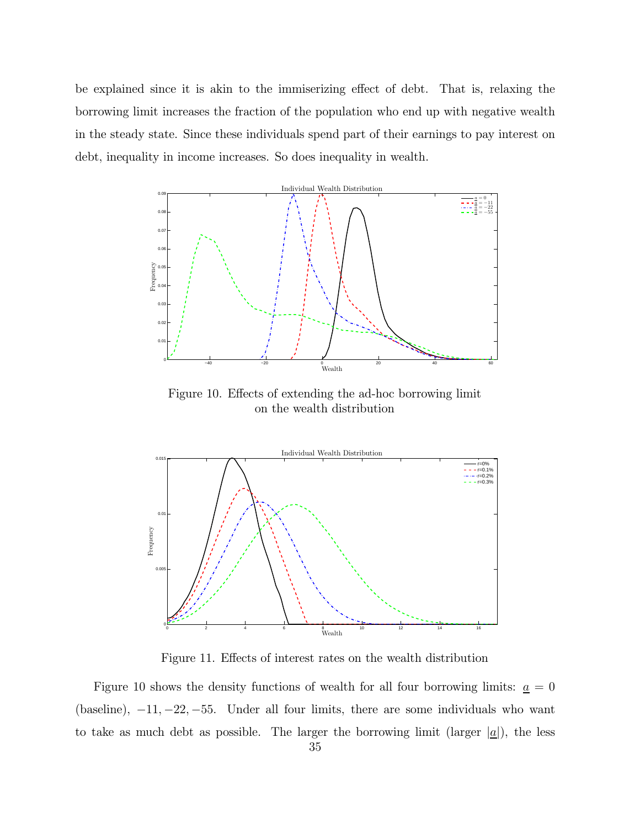be explained since it is akin to the immiserizing effect of debt. That is, relaxing the borrowing limit increases the fraction of the population who end up with negative wealth in the steady state. Since these individuals spend part of their earnings to pay interest on debt, inequality in income increases. So does inequality in wealth.



Figure 10. Effects of extending the ad-hoc borrowing limit on the wealth distribution



Figure 11. Effects of interest rates on the wealth distribution

Figure 10 shows the density functions of wealth for all four borrowing limits:  $\underline{a} = 0$ (baseline),  $-11, -22, -55$ . Under all four limits, there are some individuals who want to take as much debt as possible. The larger the borrowing limit (larger  $|\underline{a}|$ ), the less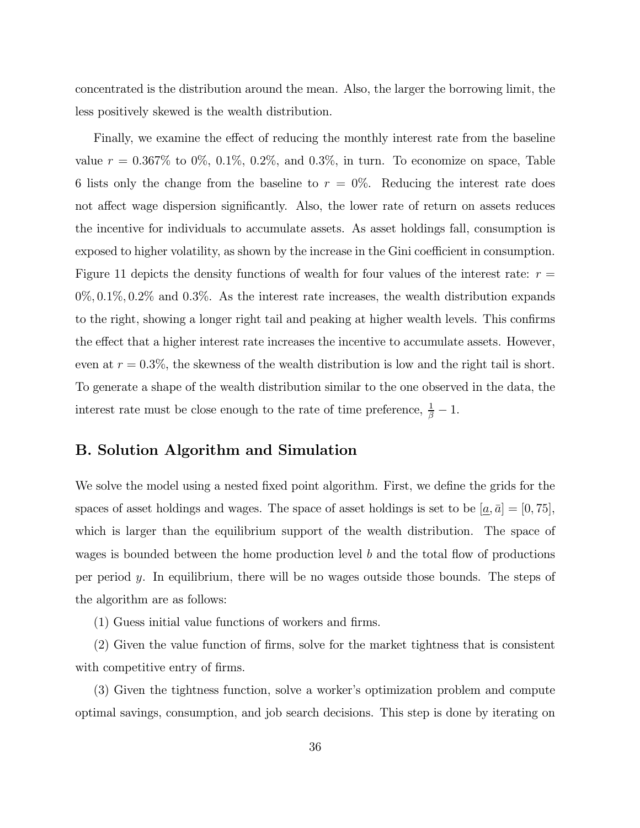concentrated is the distribution around the mean. Also, the larger the borrowing limit, the less positively skewed is the wealth distribution.

Finally, we examine the effect of reducing the monthly interest rate from the baseline value  $r = 0.367\%$  to 0%, 0.1%, 0.2%, and 0.3%, in turn. To economize on space, Table 6 lists only the change from the baseline to  $r = 0\%$ . Reducing the interest rate does not affect wage dispersion significantly. Also, the lower rate of return on assets reduces the incentive for individuals to accumulate assets. As asset holdings fall, consumption is exposed to higher volatility, as shown by the increase in the Gini coefficient in consumption. Figure 11 depicts the density functions of wealth for four values of the interest rate:  $r =$  $0\%, 0.1\%, 0.2\%$  and  $0.3\%$ . As the interest rate increases, the wealth distribution expands to the right, showing a longer right tail and peaking at higher wealth levels. This confirms the effect that a higher interest rate increases the incentive to accumulate assets. However, even at  $r = 0.3\%$ , the skewness of the wealth distribution is low and the right tail is short. To generate a shape of the wealth distribution similar to the one observed in the data, the interest rate must be close enough to the rate of time preference,  $\frac{1}{\beta} - 1$ .

### B. Solution Algorithm and Simulation

We solve the model using a nested fixed point algorithm. First, we define the grids for the spaces of asset holdings and wages. The space of asset holdings is set to be  $[\underline{a}, \overline{a}] = [0, 75]$ , which is larger than the equilibrium support of the wealth distribution. The space of wages is bounded between the home production level  $b$  and the total flow of productions per period  $y$ . In equilibrium, there will be no wages outside those bounds. The steps of the algorithm are as follows:

(1) Guess initial value functions of workers and firms.

(2) Given the value function of firms, solve for the market tightness that is consistent with competitive entry of firms.

(3) Given the tightness function, solve a worker's optimization problem and compute optimal savings, consumption, and job search decisions. This step is done by iterating on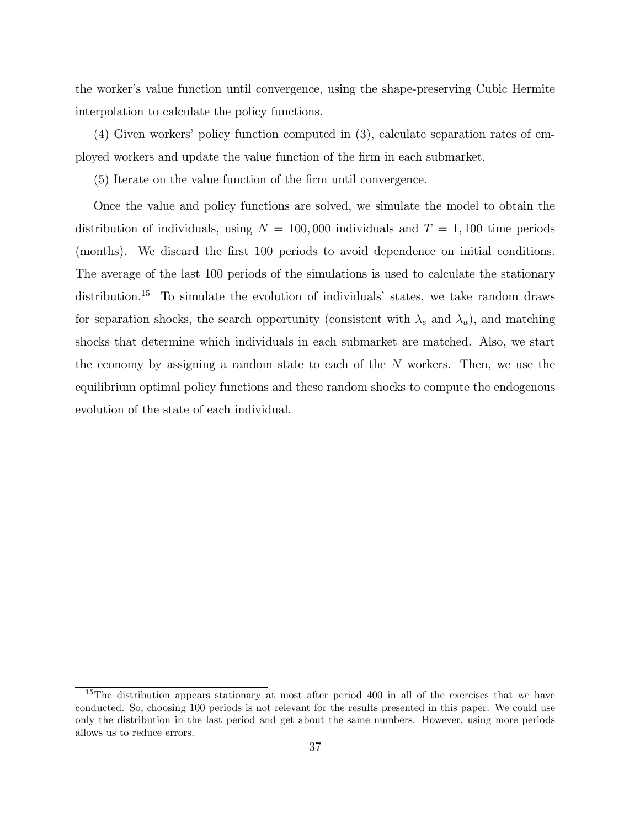the worker's value function until convergence, using the shape-preserving Cubic Hermite interpolation to calculate the policy functions.

(4) Given workers' policy function computed in (3), calculate separation rates of employed workers and update the value function of the firm in each submarket.

(5) Iterate on the value function of the firm until convergence.

Once the value and policy functions are solved, we simulate the model to obtain the distribution of individuals, using  $N = 100,000$  individuals and  $T = 1,100$  time periods (months). We discard the first 100 periods to avoid dependence on initial conditions. The average of the last 100 periods of the simulations is used to calculate the stationary distribution.<sup>15</sup> To simulate the evolution of individuals' states, we take random draws for separation shocks, the search opportunity (consistent with  $\lambda_e$  and  $\lambda_u$ ), and matching shocks that determine which individuals in each submarket are matched. Also, we start the economy by assigning a random state to each of the  $N$  workers. Then, we use the equilibrium optimal policy functions and these random shocks to compute the endogenous evolution of the state of each individual.

<sup>&</sup>lt;sup>15</sup>The distribution appears stationary at most after period 400 in all of the exercises that we have conducted. So, choosing 100 periods is not relevant for the results presented in this paper. We could use only the distribution in the last period and get about the same numbers. However, using more periods allows us to reduce errors.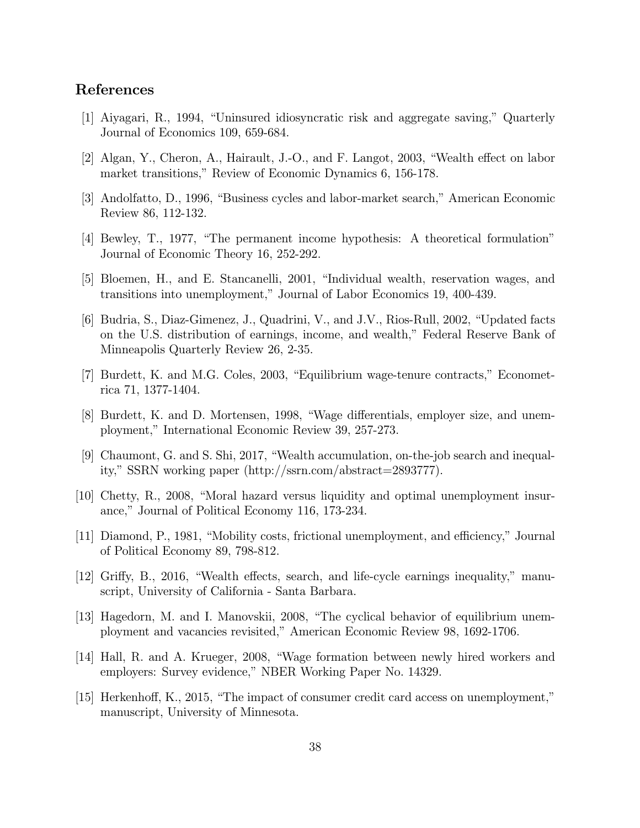### References

- [1] Aiyagari, R., 1994, "Uninsured idiosyncratic risk and aggregate saving," Quarterly Journal of Economics 109, 659-684.
- [2] Algan, Y., Cheron, A., Hairault, J.-O., and F. Langot, 2003, "Wealth effect on labor market transitions," Review of Economic Dynamics 6, 156-178.
- [3] Andolfatto, D., 1996, "Business cycles and labor-market search," American Economic Review 86, 112-132.
- [4] Bewley, T., 1977, "The permanent income hypothesis: A theoretical formulation" Journal of Economic Theory 16, 252-292.
- [5] Bloemen, H., and E. Stancanelli, 2001, "Individual wealth, reservation wages, and transitions into unemployment," Journal of Labor Economics 19, 400-439.
- [6] Budria, S., Diaz-Gimenez, J., Quadrini, V., and J.V., Rios-Rull, 2002, "Updated facts on the U.S. distribution of earnings, income, and wealth," Federal Reserve Bank of Minneapolis Quarterly Review 26, 2-35.
- [7] Burdett, K. and M.G. Coles, 2003, "Equilibrium wage-tenure contracts," Econometrica 71, 1377-1404.
- [8] Burdett, K. and D. Mortensen, 1998, "Wage differentials, employer size, and unemployment," International Economic Review 39, 257-273.
- [9] Chaumont, G. and S. Shi, 2017, "Wealth accumulation, on-the-job search and inequality," SSRN working paper (http://ssrn.com/abstract=2893777).
- [10] Chetty, R., 2008, "Moral hazard versus liquidity and optimal unemployment insurance," Journal of Political Economy 116, 173-234.
- [11] Diamond, P., 1981, "Mobility costs, frictional unemployment, and efficiency," Journal of Political Economy 89, 798-812.
- [12] Griffy, B., 2016, "Wealth effects, search, and life-cycle earnings inequality," manuscript, University of California - Santa Barbara.
- [13] Hagedorn, M. and I. Manovskii, 2008, "The cyclical behavior of equilibrium unemployment and vacancies revisited," American Economic Review 98, 1692-1706.
- [14] Hall, R. and A. Krueger, 2008, "Wage formation between newly hired workers and employers: Survey evidence," NBER Working Paper No. 14329.
- [15] Herkenhoff, K., 2015, "The impact of consumer credit card access on unemployment," manuscript, University of Minnesota.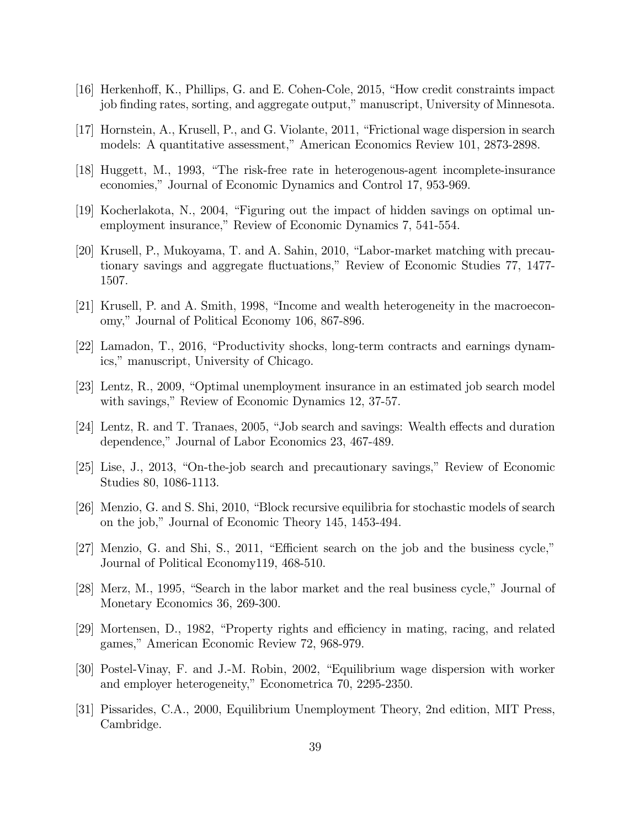- [16] Herkenhoff, K., Phillips, G. and E. Cohen-Cole, 2015, "How credit constraints impact job finding rates, sorting, and aggregate output," manuscript, University of Minnesota.
- [17] Hornstein, A., Krusell, P., and G. Violante, 2011, "Frictional wage dispersion in search models: A quantitative assessment," American Economics Review 101, 2873-2898.
- [18] Huggett, M., 1993, "The risk-free rate in heterogenous-agent incomplete-insurance economies," Journal of Economic Dynamics and Control 17, 953-969.
- [19] Kocherlakota, N., 2004, "Figuring out the impact of hidden savings on optimal unemployment insurance," Review of Economic Dynamics 7, 541-554.
- [20] Krusell, P., Mukoyama, T. and A. Sahin, 2010, "Labor-market matching with precautionary savings and aggregate fluctuations," Review of Economic Studies 77, 1477- 1507.
- [21] Krusell, P. and A. Smith, 1998, "Income and wealth heterogeneity in the macroeconomy," Journal of Political Economy 106, 867-896.
- [22] Lamadon, T., 2016, "Productivity shocks, long-term contracts and earnings dynamics," manuscript, University of Chicago.
- [23] Lentz, R., 2009, "Optimal unemployment insurance in an estimated job search model with savings," Review of Economic Dynamics 12, 37-57.
- [24] Lentz, R. and T. Tranaes, 2005, "Job search and savings: Wealth effects and duration dependence," Journal of Labor Economics 23, 467-489.
- [25] Lise, J., 2013, "On-the-job search and precautionary savings," Review of Economic Studies 80, 1086-1113.
- [26] Menzio, G. and S. Shi, 2010, "Block recursive equilibria for stochastic models of search on the job," Journal of Economic Theory 145, 1453-494.
- [27] Menzio, G. and Shi, S., 2011, "Efficient search on the job and the business cycle," Journal of Political Economy119, 468-510.
- [28] Merz, M., 1995, "Search in the labor market and the real business cycle," Journal of Monetary Economics 36, 269-300.
- [29] Mortensen, D., 1982, "Property rights and efficiency in mating, racing, and related games," American Economic Review 72, 968-979.
- [30] Postel-Vinay, F. and J.-M. Robin, 2002, "Equilibrium wage dispersion with worker and employer heterogeneity," Econometrica 70, 2295-2350.
- [31] Pissarides, C.A., 2000, Equilibrium Unemployment Theory, 2nd edition, MIT Press, Cambridge.